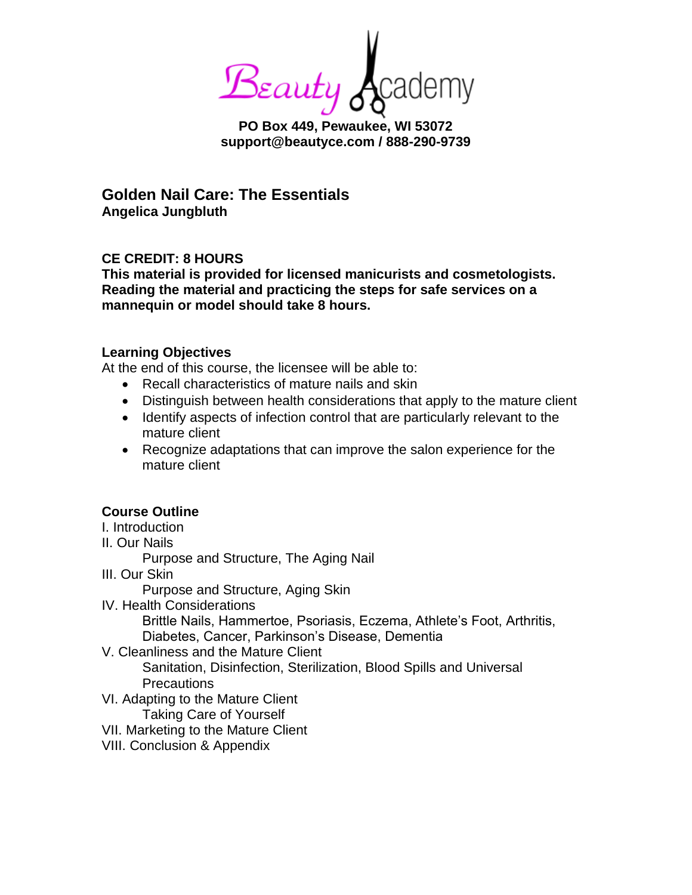Beauty 6

**PO Box 449, Pewaukee, WI 53072 support@beautyce.com / 888-290-9739**

**Golden Nail Care: The Essentials Angelica Jungbluth**

# **CE CREDIT: 8 HOURS**

**This material is provided for licensed manicurists and cosmetologists. Reading the material and practicing the steps for safe services on a mannequin or model should take 8 hours.**

## **Learning Objectives**

At the end of this course, the licensee will be able to:

- Recall characteristics of mature nails and skin
- Distinguish between health considerations that apply to the mature client
- Identify aspects of infection control that are particularly relevant to the mature client
- Recognize adaptations that can improve the salon experience for the mature client

## **Course Outline**

- I. Introduction
- II. Our Nails

Purpose and Structure, The Aging Nail

III. Our Skin

Purpose and Structure, Aging Skin

IV. Health Considerations

Brittle Nails, Hammertoe, Psoriasis, Eczema, Athlete's Foot, Arthritis, Diabetes, Cancer, Parkinson's Disease, Dementia

V. Cleanliness and the Mature Client

Sanitation, Disinfection, Sterilization, Blood Spills and Universal **Precautions** 

- VI. Adapting to the Mature Client Taking Care of Yourself
- VII. Marketing to the Mature Client
- VIII. Conclusion & Appendix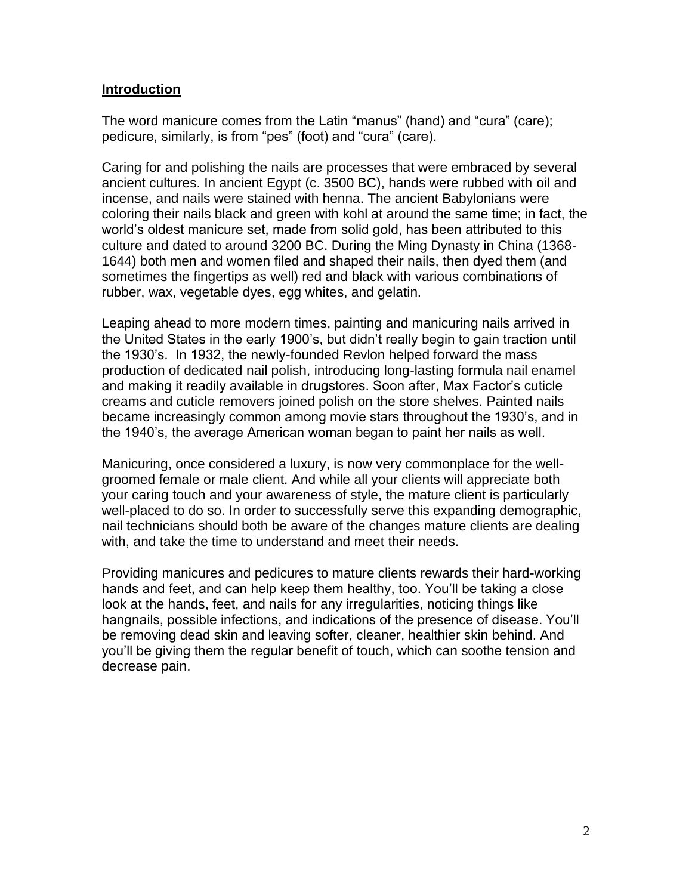#### **Introduction**

The word manicure comes from the Latin "manus" (hand) and "cura" (care); pedicure, similarly, is from "pes" (foot) and "cura" (care).

Caring for and polishing the nails are processes that were embraced by several ancient cultures. In ancient Egypt (c. 3500 BC), hands were rubbed with oil and incense, and nails were stained with henna. The ancient Babylonians were coloring their nails black and green with kohl at around the same time; in fact, the world's oldest manicure set, made from solid gold, has been attributed to this culture and dated to around 3200 BC. During the Ming Dynasty in China (1368- 1644) both men and women filed and shaped their nails, then dyed them (and sometimes the fingertips as well) red and black with various combinations of rubber, wax, vegetable dyes, egg whites, and gelatin.

Leaping ahead to more modern times, painting and manicuring nails arrived in the United States in the early 1900's, but didn't really begin to gain traction until the 1930's. In 1932, the newly-founded Revlon helped forward the mass production of dedicated nail polish, introducing long-lasting formula nail enamel and making it readily available in drugstores. Soon after, Max Factor's cuticle creams and cuticle removers joined polish on the store shelves. Painted nails became increasingly common among movie stars throughout the 1930's, and in the 1940's, the average American woman began to paint her nails as well.

Manicuring, once considered a luxury, is now very commonplace for the wellgroomed female or male client. And while all your clients will appreciate both your caring touch and your awareness of style, the mature client is particularly well-placed to do so. In order to successfully serve this expanding demographic, nail technicians should both be aware of the changes mature clients are dealing with, and take the time to understand and meet their needs.

Providing manicures and pedicures to mature clients rewards their hard-working hands and feet, and can help keep them healthy, too. You'll be taking a close look at the hands, feet, and nails for any irregularities, noticing things like hangnails, possible infections, and indications of the presence of disease. You'll be removing dead skin and leaving softer, cleaner, healthier skin behind. And you'll be giving them the regular benefit of touch, which can soothe tension and decrease pain.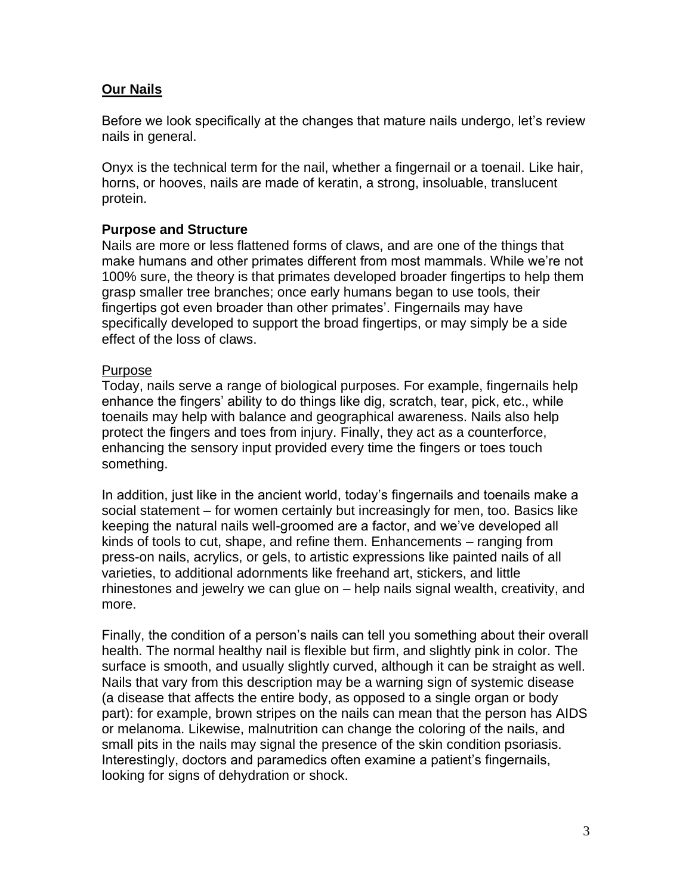## **Our Nails**

Before we look specifically at the changes that mature nails undergo, let's review nails in general.

Onyx is the technical term for the nail, whether a fingernail or a toenail. Like hair, horns, or hooves, nails are made of keratin, a strong, insoluable, translucent protein.

## **Purpose and Structure**

Nails are more or less flattened forms of claws, and are one of the things that make humans and other primates different from most mammals. While we're not 100% sure, the theory is that primates developed broader fingertips to help them grasp smaller tree branches; once early humans began to use tools, their fingertips got even broader than other primates'. Fingernails may have specifically developed to support the broad fingertips, or may simply be a side effect of the loss of claws.

#### Purpose

Today, nails serve a range of biological purposes. For example, fingernails help enhance the fingers' ability to do things like dig, scratch, tear, pick, etc., while toenails may help with balance and geographical awareness. Nails also help protect the fingers and toes from injury. Finally, they act as a counterforce, enhancing the sensory input provided every time the fingers or toes touch something.

In addition, just like in the ancient world, today's fingernails and toenails make a social statement – for women certainly but increasingly for men, too. Basics like keeping the natural nails well-groomed are a factor, and we've developed all kinds of tools to cut, shape, and refine them. Enhancements – ranging from press-on nails, acrylics, or gels, to artistic expressions like painted nails of all varieties, to additional adornments like freehand art, stickers, and little rhinestones and jewelry we can glue on – help nails signal wealth, creativity, and more.

Finally, the condition of a person's nails can tell you something about their overall health. The normal healthy nail is flexible but firm, and slightly pink in color. The surface is smooth, and usually slightly curved, although it can be straight as well. Nails that vary from this description may be a warning sign of systemic disease (a disease that affects the entire body, as opposed to a single organ or body part): for example, brown stripes on the nails can mean that the person has AIDS or melanoma. Likewise, malnutrition can change the coloring of the nails, and small pits in the nails may signal the presence of the skin condition psoriasis. Interestingly, doctors and paramedics often examine a patient's fingernails, looking for signs of dehydration or shock.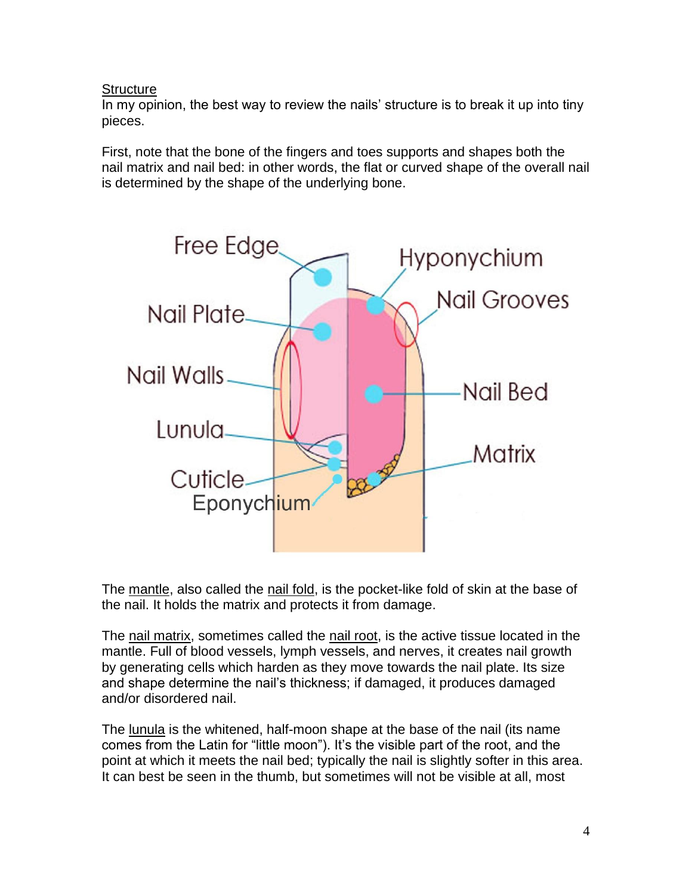## **Structure**

In my opinion, the best way to review the nails' structure is to break it up into tiny pieces.

First, note that the bone of the fingers and toes supports and shapes both the nail matrix and nail bed: in other words, the flat or curved shape of the overall nail is determined by the shape of the underlying bone.



The mantle, also called the nail fold, is the pocket-like fold of skin at the base of the nail. It holds the matrix and protects it from damage.

The nail matrix, sometimes called the nail root, is the active tissue located in the mantle. Full of blood vessels, lymph vessels, and nerves, it creates nail growth by generating cells which harden as they move towards the nail plate. Its size and shape determine the nail's thickness; if damaged, it produces damaged and/or disordered nail.

The lunula is the whitened, half-moon shape at the base of the nail (its name comes from the Latin for "little moon"). It's the visible part of the root, and the point at which it meets the nail bed; typically the nail is slightly softer in this area. It can best be seen in the thumb, but sometimes will not be visible at all, most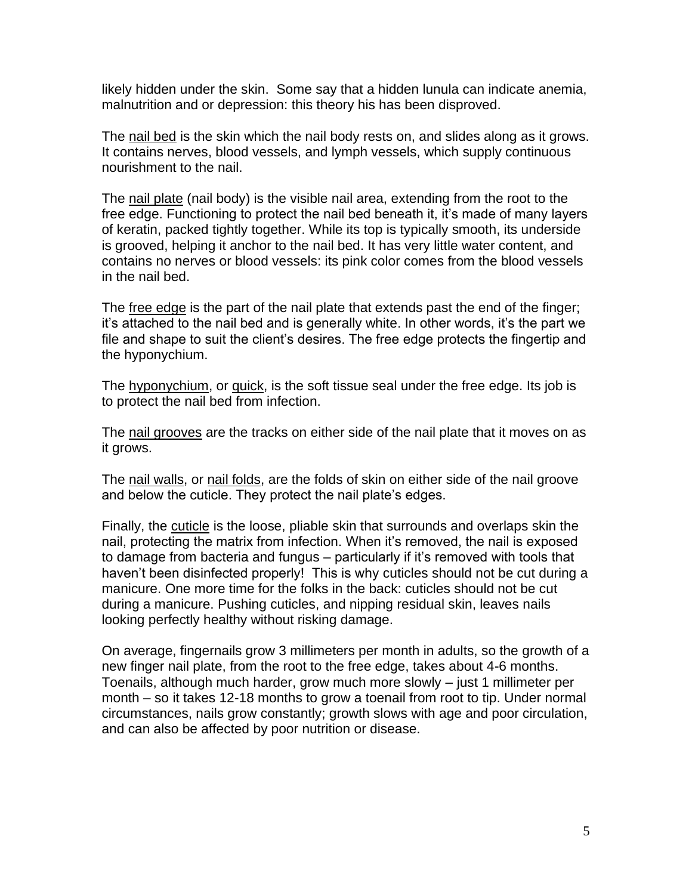likely hidden under the skin. Some say that a hidden lunula can indicate anemia, malnutrition and or depression: this theory his has been disproved.

The nail bed is the skin which the nail body rests on, and slides along as it grows. It contains nerves, blood vessels, and lymph vessels, which supply continuous nourishment to the nail.

The nail plate (nail body) is the visible nail area, extending from the root to the free edge. Functioning to protect the nail bed beneath it, it's made of many layers of keratin, packed tightly together. While its top is typically smooth, its underside is grooved, helping it anchor to the nail bed. It has very little water content, and contains no nerves or blood vessels: its pink color comes from the blood vessels in the nail bed.

The free edge is the part of the nail plate that extends past the end of the finger; it's attached to the nail bed and is generally white. In other words, it's the part we file and shape to suit the client's desires. The free edge protects the fingertip and the hyponychium.

The hyponychium, or quick, is the soft tissue seal under the free edge. Its job is to protect the nail bed from infection.

The nail grooves are the tracks on either side of the nail plate that it moves on as it grows.

The nail walls, or nail folds, are the folds of skin on either side of the nail groove and below the cuticle. They protect the nail plate's edges.

Finally, the cuticle is the loose, pliable skin that surrounds and overlaps skin the nail, protecting the matrix from infection. When it's removed, the nail is exposed to damage from bacteria and fungus – particularly if it's removed with tools that haven't been disinfected properly! This is why cuticles should not be cut during a manicure. One more time for the folks in the back: cuticles should not be cut during a manicure. Pushing cuticles, and nipping residual skin, leaves nails looking perfectly healthy without risking damage.

On average, fingernails grow 3 millimeters per month in adults, so the growth of a new finger nail plate, from the root to the free edge, takes about 4-6 months. Toenails, although much harder, grow much more slowly – just 1 millimeter per month – so it takes 12-18 months to grow a toenail from root to tip. Under normal circumstances, nails grow constantly; growth slows with age and poor circulation, and can also be affected by poor nutrition or disease.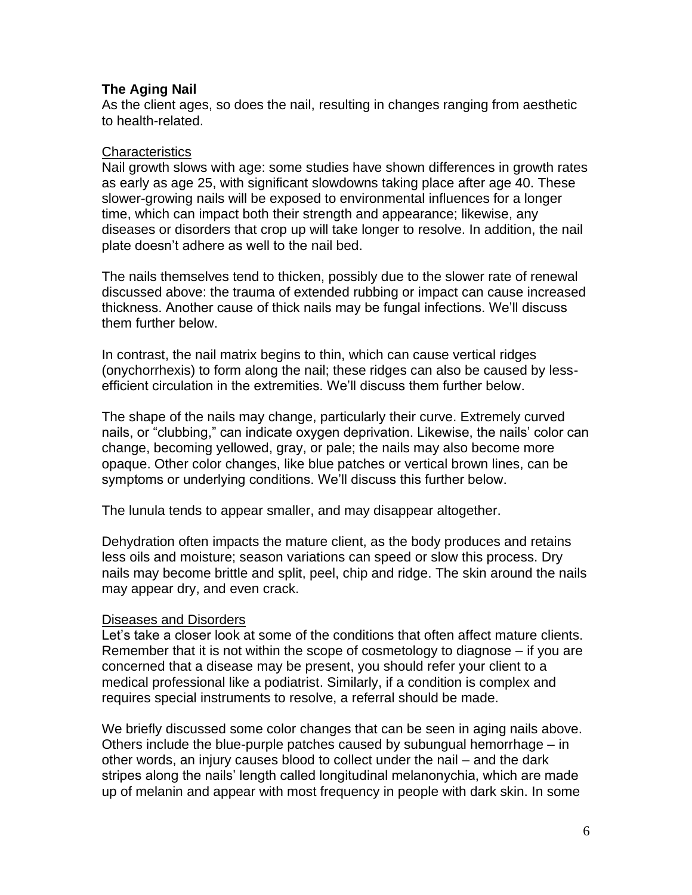## **The Aging Nail**

As the client ages, so does the nail, resulting in changes ranging from aesthetic to health-related.

#### **Characteristics**

Nail growth slows with age: some studies have shown differences in growth rates as early as age 25, with significant slowdowns taking place after age 40. These slower-growing nails will be exposed to environmental influences for a longer time, which can impact both their strength and appearance; likewise, any diseases or disorders that crop up will take longer to resolve. In addition, the nail plate doesn't adhere as well to the nail bed.

The nails themselves tend to thicken, possibly due to the slower rate of renewal discussed above: the trauma of extended rubbing or impact can cause increased thickness. Another cause of thick nails may be fungal infections. We'll discuss them further below.

In contrast, the nail matrix begins to thin, which can cause vertical ridges (onychorrhexis) to form along the nail; these ridges can also be caused by lessefficient circulation in the extremities. We'll discuss them further below.

The shape of the nails may change, particularly their curve. Extremely curved nails, or "clubbing," can indicate oxygen deprivation. Likewise, the nails' color can change, becoming yellowed, gray, or pale; the nails may also become more opaque. Other color changes, like blue patches or vertical brown lines, can be symptoms or underlying conditions. We'll discuss this further below.

The lunula tends to appear smaller, and may disappear altogether.

Dehydration often impacts the mature client, as the body produces and retains less oils and moisture; season variations can speed or slow this process. Dry nails may become brittle and split, peel, chip and ridge. The skin around the nails may appear dry, and even crack.

#### Diseases and Disorders

Let's take a closer look at some of the conditions that often affect mature clients. Remember that it is not within the scope of cosmetology to diagnose – if you are concerned that a disease may be present, you should refer your client to a medical professional like a podiatrist. Similarly, if a condition is complex and requires special instruments to resolve, a referral should be made.

We briefly discussed some color changes that can be seen in aging nails above. Others include the blue-purple patches caused by subungual hemorrhage – in other words, an injury causes blood to collect under the nail – and the dark stripes along the nails' length called longitudinal melanonychia, which are made up of melanin and appear with most frequency in people with dark skin. In some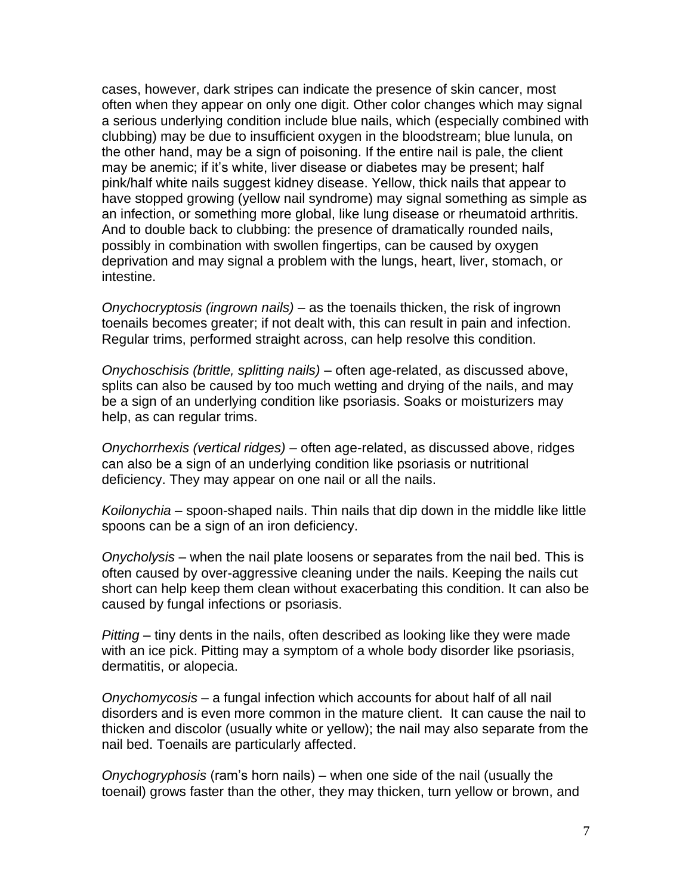cases, however, dark stripes can indicate the presence of skin cancer, most often when they appear on only one digit. Other color changes which may signal a serious underlying condition include blue nails, which (especially combined with clubbing) may be due to insufficient oxygen in the bloodstream; blue lunula, on the other hand, may be a sign of poisoning. If the entire nail is pale, the client may be anemic; if it's white, liver disease or diabetes may be present; half pink/half white nails suggest kidney disease. Yellow, thick nails that appear to have stopped growing (yellow nail syndrome) may signal something as simple as an infection, or something more global, like lung disease or rheumatoid arthritis. And to double back to clubbing: the presence of dramatically rounded nails, possibly in combination with swollen fingertips, can be caused by oxygen deprivation and may signal a problem with the lungs, heart, liver, stomach, or intestine.

*Onychocryptosis (ingrown nails)* – as the toenails thicken, the risk of ingrown toenails becomes greater; if not dealt with, this can result in pain and infection. Regular trims, performed straight across, can help resolve this condition.

*Onychoschisis (brittle, splitting nails) –* often age-related, as discussed above, splits can also be caused by too much wetting and drying of the nails, and may be a sign of an underlying condition like psoriasis. Soaks or moisturizers may help, as can regular trims.

*Onychorrhexis (vertical ridges) –* often age-related, as discussed above, ridges can also be a sign of an underlying condition like psoriasis or nutritional deficiency. They may appear on one nail or all the nails.

*Koilonychia –* spoon-shaped nails. Thin nails that dip down in the middle like little spoons can be a sign of an iron deficiency.

*Onycholysis* – when the nail plate loosens or separates from the nail bed. This is often caused by over-aggressive cleaning under the nails. Keeping the nails cut short can help keep them clean without exacerbating this condition. It can also be caused by fungal infections or psoriasis.

*Pitting –* tiny dents in the nails, often described as looking like they were made with an ice pick. Pitting may a symptom of a whole body disorder like psoriasis, dermatitis, or alopecia.

*Onychomycosis* – a fungal infection which accounts for about half of all nail disorders and is even more common in the mature client. It can cause the nail to thicken and discolor (usually white or yellow); the nail may also separate from the nail bed. Toenails are particularly affected.

*Onychogryphosis* (ram's horn nails) – when one side of the nail (usually the toenail) grows faster than the other, they may thicken, turn yellow or brown, and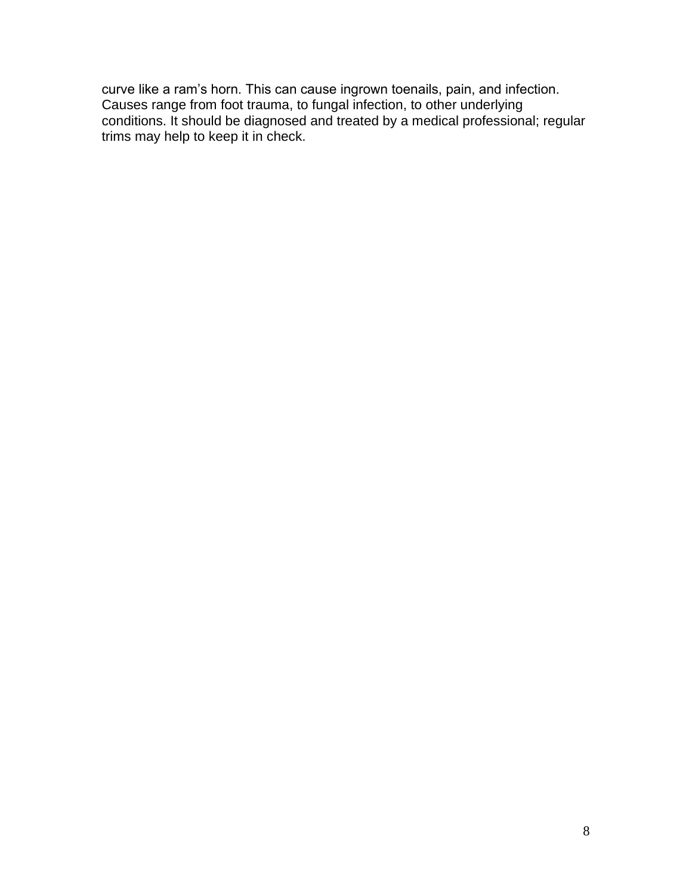curve like a ram's horn. This can cause ingrown toenails, pain, and infection. Causes range from foot trauma, to fungal infection, to other underlying conditions. It should be diagnosed and treated by a medical professional; regular trims may help to keep it in check.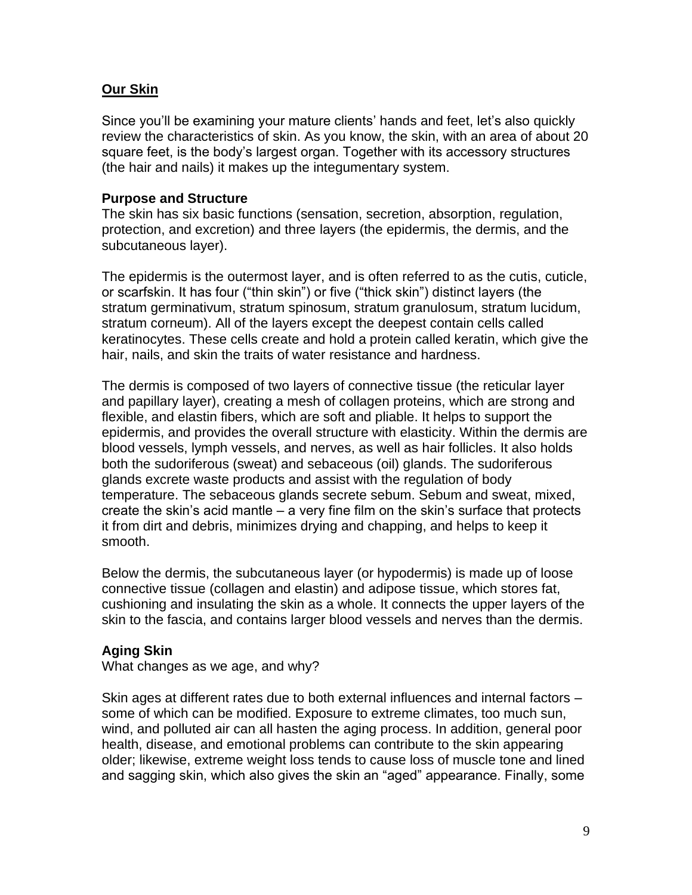## **Our Skin**

Since you'll be examining your mature clients' hands and feet, let's also quickly review the characteristics of skin. As you know, the skin, with an area of about 20 square feet, is the body's largest organ. Together with its accessory structures (the hair and nails) it makes up the integumentary system.

## **Purpose and Structure**

The skin has six basic functions (sensation, secretion, absorption, regulation, protection, and excretion) and three layers (the epidermis, the dermis, and the subcutaneous layer).

The epidermis is the outermost layer, and is often referred to as the cutis, cuticle, or scarfskin. It has four ("thin skin") or five ("thick skin") distinct layers (the stratum germinativum, stratum spinosum, stratum granulosum, stratum lucidum, stratum corneum). All of the layers except the deepest contain cells called keratinocytes. These cells create and hold a protein called keratin, which give the hair, nails, and skin the traits of water resistance and hardness.

The dermis is composed of two layers of connective tissue (the reticular layer and papillary layer), creating a mesh of collagen proteins, which are strong and flexible, and elastin fibers, which are soft and pliable. It helps to support the epidermis, and provides the overall structure with elasticity. Within the dermis are blood vessels, lymph vessels, and nerves, as well as hair follicles. It also holds both the sudoriferous (sweat) and sebaceous (oil) glands. The sudoriferous glands excrete waste products and assist with the regulation of body temperature. The sebaceous glands secrete sebum. Sebum and sweat, mixed, create the skin's acid mantle – a very fine film on the skin's surface that protects it from dirt and debris, minimizes drying and chapping, and helps to keep it smooth.

Below the dermis, the subcutaneous layer (or hypodermis) is made up of loose connective tissue (collagen and elastin) and adipose tissue, which stores fat, cushioning and insulating the skin as a whole. It connects the upper layers of the skin to the fascia, and contains larger blood vessels and nerves than the dermis.

## **Aging Skin**

What changes as we age, and why?

Skin ages at different rates due to both external influences and internal factors – some of which can be modified. Exposure to extreme climates, too much sun, wind, and polluted air can all hasten the aging process. In addition, general poor health, disease, and emotional problems can contribute to the skin appearing older; likewise, extreme weight loss tends to cause loss of muscle tone and lined and sagging skin, which also gives the skin an "aged" appearance. Finally, some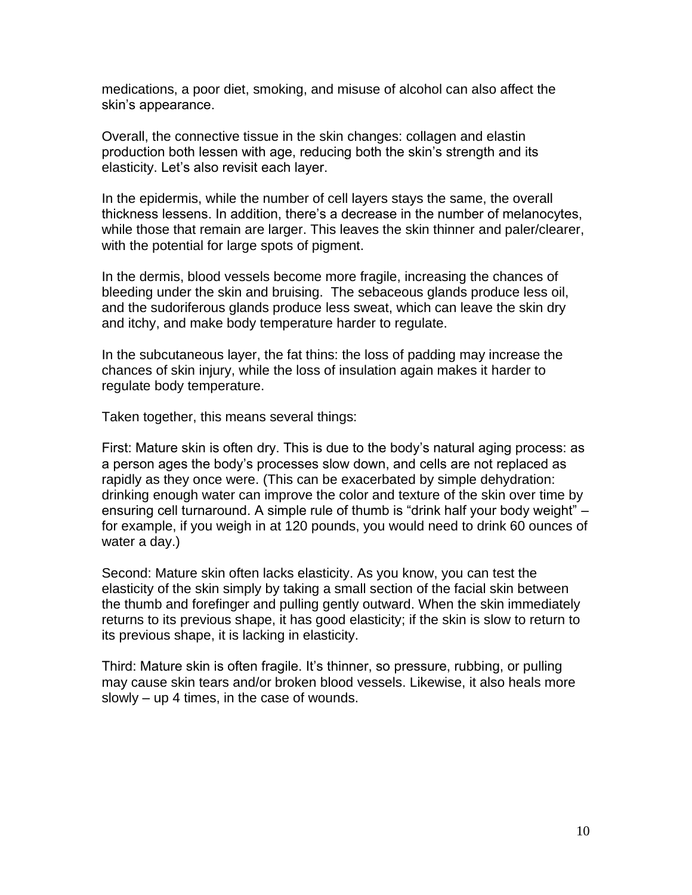medications, a poor diet, smoking, and misuse of alcohol can also affect the skin's appearance.

Overall, the connective tissue in the skin changes: collagen and elastin production both lessen with age, reducing both the skin's strength and its elasticity. Let's also revisit each layer.

In the epidermis, while the number of cell layers stays the same, the overall thickness lessens. In addition, there's a decrease in the number of melanocytes, while those that remain are larger. This leaves the skin thinner and paler/clearer, with the potential for large spots of pigment.

In the dermis, blood vessels become more fragile, increasing the chances of bleeding under the skin and bruising. The sebaceous glands produce less oil, and the sudoriferous glands produce less sweat, which can leave the skin dry and itchy, and make body temperature harder to regulate.

In the subcutaneous layer, the fat thins: the loss of padding may increase the chances of skin injury, while the loss of insulation again makes it harder to regulate body temperature.

Taken together, this means several things:

First: Mature skin is often dry. This is due to the body's natural aging process: as a person ages the body's processes slow down, and cells are not replaced as rapidly as they once were. (This can be exacerbated by simple dehydration: drinking enough water can improve the color and texture of the skin over time by ensuring cell turnaround. A simple rule of thumb is "drink half your body weight" – for example, if you weigh in at 120 pounds, you would need to drink 60 ounces of water a day.)

Second: Mature skin often lacks elasticity. As you know, you can test the elasticity of the skin simply by taking a small section of the facial skin between the thumb and forefinger and pulling gently outward. When the skin immediately returns to its previous shape, it has good elasticity; if the skin is slow to return to its previous shape, it is lacking in elasticity.

Third: Mature skin is often fragile. It's thinner, so pressure, rubbing, or pulling may cause skin tears and/or broken blood vessels. Likewise, it also heals more slowly – up 4 times, in the case of wounds.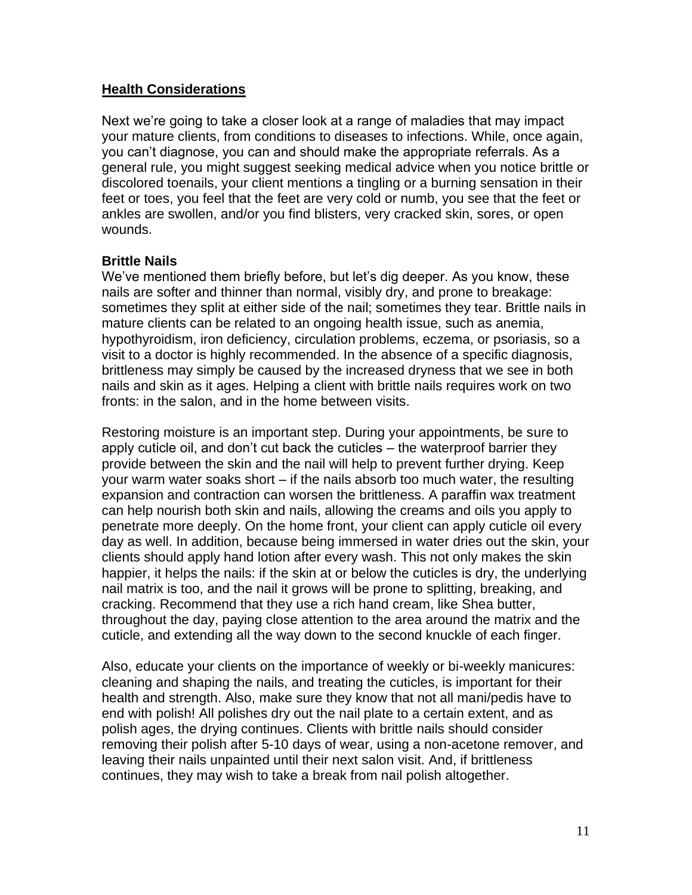## **Health Considerations**

Next we're going to take a closer look at a range of maladies that may impact your mature clients, from conditions to diseases to infections. While, once again, you can't diagnose, you can and should make the appropriate referrals. As a general rule, you might suggest seeking medical advice when you notice brittle or discolored toenails, your client mentions a tingling or a burning sensation in their feet or toes, you feel that the feet are very cold or numb, you see that the feet or ankles are swollen, and/or you find blisters, very cracked skin, sores, or open wounds.

## **Brittle Nails**

We've mentioned them briefly before, but let's dig deeper. As you know, these nails are softer and thinner than normal, visibly dry, and prone to breakage: sometimes they split at either side of the nail; sometimes they tear. Brittle nails in mature clients can be related to an ongoing health issue, such as anemia, hypothyroidism, iron deficiency, circulation problems, eczema, or psoriasis, so a visit to a doctor is highly recommended. In the absence of a specific diagnosis, brittleness may simply be caused by the increased dryness that we see in both nails and skin as it ages. Helping a client with brittle nails requires work on two fronts: in the salon, and in the home between visits.

Restoring moisture is an important step. During your appointments, be sure to apply cuticle oil, and don't cut back the cuticles – the waterproof barrier they provide between the skin and the nail will help to prevent further drying. Keep your warm water soaks short – if the nails absorb too much water, the resulting expansion and contraction can worsen the brittleness. A paraffin wax treatment can help nourish both skin and nails, allowing the creams and oils you apply to penetrate more deeply. On the home front, your client can apply cuticle oil every day as well. In addition, because being immersed in water dries out the skin, your clients should apply hand lotion after every wash. This not only makes the skin happier, it helps the nails: if the skin at or below the cuticles is dry, the underlying nail matrix is too, and the nail it grows will be prone to splitting, breaking, and cracking. Recommend that they use a rich hand cream, like Shea butter, throughout the day, paying close attention to the area around the matrix and the cuticle, and extending all the way down to the second knuckle of each finger.

Also, educate your clients on the importance of weekly or bi-weekly manicures: cleaning and shaping the nails, and treating the cuticles, is important for their health and strength. Also, make sure they know that not all mani/pedis have to end with polish! All polishes dry out the nail plate to a certain extent, and as polish ages, the drying continues. Clients with brittle nails should consider removing their polish after 5-10 days of wear, using a non-acetone remover, and leaving their nails unpainted until their next salon visit. And, if brittleness continues, they may wish to take a break from nail polish altogether.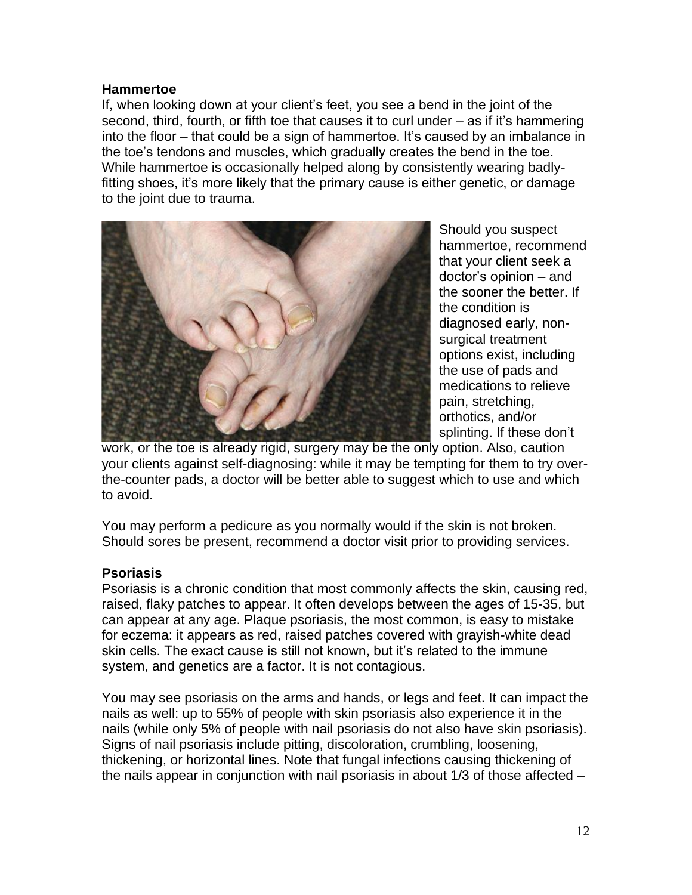### **Hammertoe**

If, when looking down at your client's feet, you see a bend in the joint of the second, third, fourth, or fifth toe that causes it to curl under – as if it's hammering into the floor – that could be a sign of hammertoe. It's caused by an imbalance in the toe's tendons and muscles, which gradually creates the bend in the toe. While hammertoe is occasionally helped along by consistently wearing badlyfitting shoes, it's more likely that the primary cause is either genetic, or damage to the joint due to trauma.



Should you suspect hammertoe, recommend that your client seek a doctor's opinion – and the sooner the better. If the condition is diagnosed early, nonsurgical treatment options exist, including the use of pads and medications to relieve pain, stretching, orthotics, and/or splinting. If these don't

work, or the toe is already rigid, surgery may be the only option. Also, caution your clients against self-diagnosing: while it may be tempting for them to try overthe-counter pads, a doctor will be better able to suggest which to use and which to avoid.

You may perform a pedicure as you normally would if the skin is not broken. Should sores be present, recommend a doctor visit prior to providing services.

## **Psoriasis**

Psoriasis is a chronic condition that most commonly affects the skin, causing red, raised, flaky patches to appear. It often develops between the ages of 15-35, but can appear at any age. Plaque psoriasis, the most common, is easy to mistake for eczema: it appears as red, raised patches covered with grayish-white dead skin cells. The exact cause is still not known, but it's related to the immune system, and genetics are a factor. It is not contagious.

You may see psoriasis on the arms and hands, or legs and feet. It can impact the nails as well: up to 55% of people with skin psoriasis also experience it in the nails (while only 5% of people with nail psoriasis do not also have skin psoriasis). Signs of nail psoriasis include pitting, discoloration, crumbling, loosening, thickening, or horizontal lines. Note that fungal infections causing thickening of the nails appear in conjunction with nail psoriasis in about 1/3 of those affected –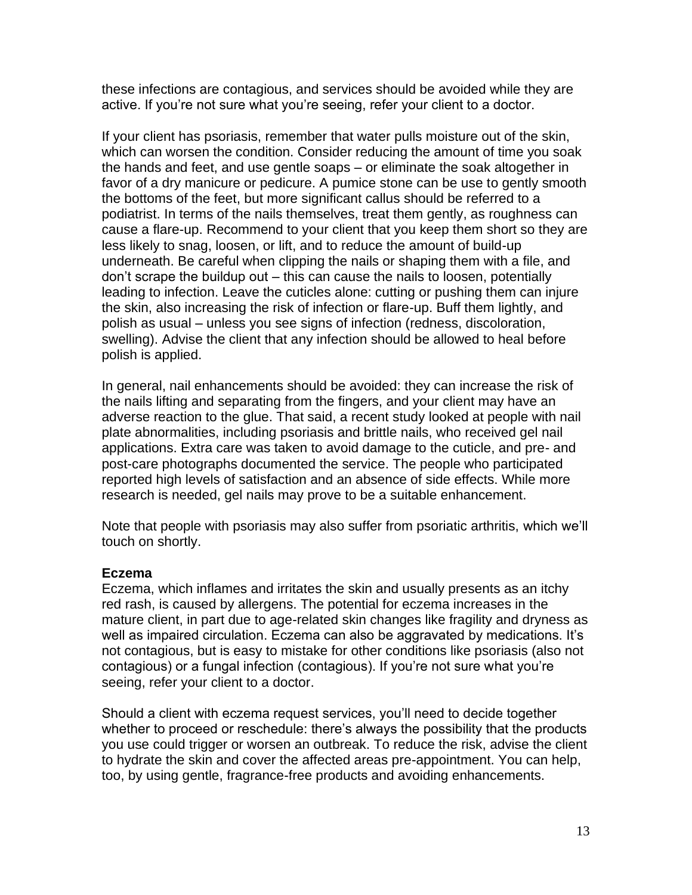these infections are contagious, and services should be avoided while they are active. If you're not sure what you're seeing, refer your client to a doctor.

If your client has psoriasis, remember that water pulls moisture out of the skin, which can worsen the condition. Consider reducing the amount of time you soak the hands and feet, and use gentle soaps – or eliminate the soak altogether in favor of a dry manicure or pedicure. A pumice stone can be use to gently smooth the bottoms of the feet, but more significant callus should be referred to a podiatrist. In terms of the nails themselves, treat them gently, as roughness can cause a flare-up. Recommend to your client that you keep them short so they are less likely to snag, loosen, or lift, and to reduce the amount of build-up underneath. Be careful when clipping the nails or shaping them with a file, and don't scrape the buildup out – this can cause the nails to loosen, potentially leading to infection. Leave the cuticles alone: cutting or pushing them can injure the skin, also increasing the risk of infection or flare-up. Buff them lightly, and polish as usual – unless you see signs of infection (redness, discoloration, swelling). Advise the client that any infection should be allowed to heal before polish is applied.

In general, nail enhancements should be avoided: they can increase the risk of the nails lifting and separating from the fingers, and your client may have an adverse reaction to the glue. That said, a recent study looked at people with nail plate abnormalities, including psoriasis and brittle nails, who received gel nail applications. Extra care was taken to avoid damage to the cuticle, and pre- and post-care photographs documented the service. The people who participated reported high levels of satisfaction and an absence of side effects. While more research is needed, gel nails may prove to be a suitable enhancement.

Note that people with psoriasis may also suffer from psoriatic arthritis, which we'll touch on shortly.

## **Eczema**

Eczema, which inflames and irritates the skin and usually presents as an itchy red rash, is caused by allergens. The potential for eczema increases in the mature client, in part due to age-related skin changes like fragility and dryness as well as impaired circulation. Eczema can also be aggravated by medications. It's not contagious, but is easy to mistake for other conditions like psoriasis (also not contagious) or a fungal infection (contagious). If you're not sure what you're seeing, refer your client to a doctor.

Should a client with eczema request services, you'll need to decide together whether to proceed or reschedule: there's always the possibility that the products you use could trigger or worsen an outbreak. To reduce the risk, advise the client to hydrate the skin and cover the affected areas pre-appointment. You can help, too, by using gentle, fragrance-free products and avoiding enhancements.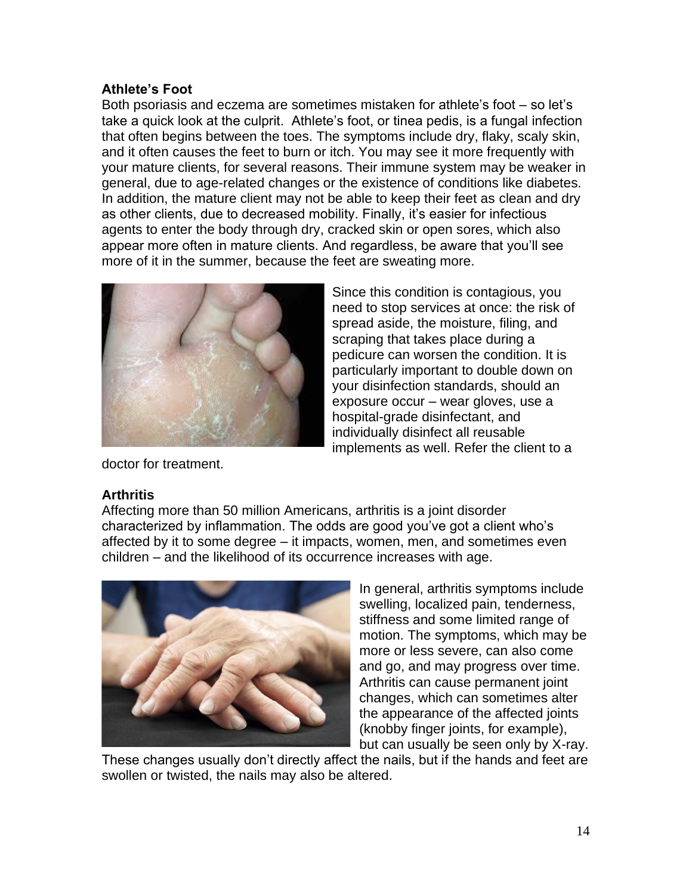## **Athlete's Foot**

Both psoriasis and eczema are sometimes mistaken for athlete's foot – so let's take a quick look at the culprit. Athlete's foot, or tinea pedis, is a fungal infection that often begins between the toes. The symptoms include dry, flaky, scaly skin, and it often causes the feet to burn or itch. You may see it more frequently with your mature clients, for several reasons. Their immune system may be weaker in general, due to age-related changes or the existence of conditions like diabetes. In addition, the mature client may not be able to keep their feet as clean and dry as other clients, due to decreased mobility. Finally, it's easier for infectious agents to enter the body through dry, cracked skin or open sores, which also appear more often in mature clients. And regardless, be aware that you'll see more of it in the summer, because the feet are sweating more.



Since this condition is contagious, you need to stop services at once: the risk of spread aside, the moisture, filing, and scraping that takes place during a pedicure can worsen the condition. It is particularly important to double down on your disinfection standards, should an exposure occur – wear gloves, use a hospital-grade disinfectant, and individually disinfect all reusable implements as well. Refer the client to a

doctor for treatment.

## **Arthritis**

Affecting more than 50 million Americans, arthritis is a joint disorder characterized by inflammation. The odds are good you've got a client who's affected by it to some degree – it impacts, women, men, and sometimes even children – and the likelihood of its occurrence increases with age.



In general, arthritis symptoms include swelling, localized pain, tenderness, stiffness and some limited range of motion. The symptoms, which may be more or less severe, can also come and go, and may progress over time. Arthritis can cause permanent joint changes, which can sometimes alter the appearance of the affected joints (knobby finger joints, for example), but can usually be seen only by X-ray.

These changes usually don't directly affect the nails, but if the hands and feet are swollen or twisted, the nails may also be altered.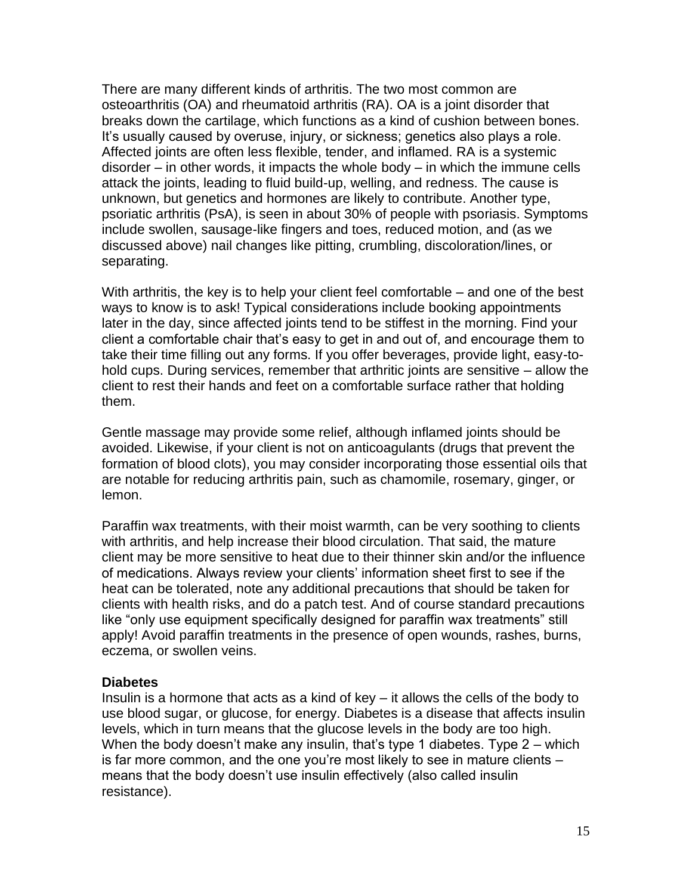There are many different kinds of arthritis. The two most common are osteoarthritis (OA) and rheumatoid arthritis (RA). OA is a joint disorder that breaks down the cartilage, which functions as a kind of cushion between bones. It's usually caused by overuse, injury, or sickness; genetics also plays a role. Affected joints are often less flexible, tender, and inflamed. RA is a systemic disorder – in other words, it impacts the whole body – in which the immune cells attack the joints, leading to fluid build-up, welling, and redness. The cause is unknown, but genetics and hormones are likely to contribute. Another type, psoriatic arthritis (PsA), is seen in about 30% of people with psoriasis. Symptoms include swollen, sausage-like fingers and toes, reduced motion, and (as we discussed above) nail changes like pitting, crumbling, discoloration/lines, or separating.

With arthritis, the key is to help your client feel comfortable – and one of the best ways to know is to ask! Typical considerations include booking appointments later in the day, since affected joints tend to be stiffest in the morning. Find your client a comfortable chair that's easy to get in and out of, and encourage them to take their time filling out any forms. If you offer beverages, provide light, easy-tohold cups. During services, remember that arthritic joints are sensitive – allow the client to rest their hands and feet on a comfortable surface rather that holding them.

Gentle massage may provide some relief, although inflamed joints should be avoided. Likewise, if your client is not on anticoagulants (drugs that prevent the formation of blood clots), you may consider incorporating those essential oils that are notable for reducing arthritis pain, such as chamomile, rosemary, ginger, or lemon.

Paraffin wax treatments, with their moist warmth, can be very soothing to clients with arthritis, and help increase their blood circulation. That said, the mature client may be more sensitive to heat due to their thinner skin and/or the influence of medications. Always review your clients' information sheet first to see if the heat can be tolerated, note any additional precautions that should be taken for clients with health risks, and do a patch test. And of course standard precautions like "only use equipment specifically designed for paraffin wax treatments" still apply! Avoid paraffin treatments in the presence of open wounds, rashes, burns, eczema, or swollen veins.

#### **Diabetes**

Insulin is a hormone that acts as a kind of key – it allows the cells of the body to use blood sugar, or glucose, for energy. Diabetes is a disease that affects insulin levels, which in turn means that the glucose levels in the body are too high. When the body doesn't make any insulin, that's type 1 diabetes. Type 2 – which is far more common, and the one you're most likely to see in mature clients – means that the body doesn't use insulin effectively (also called insulin resistance).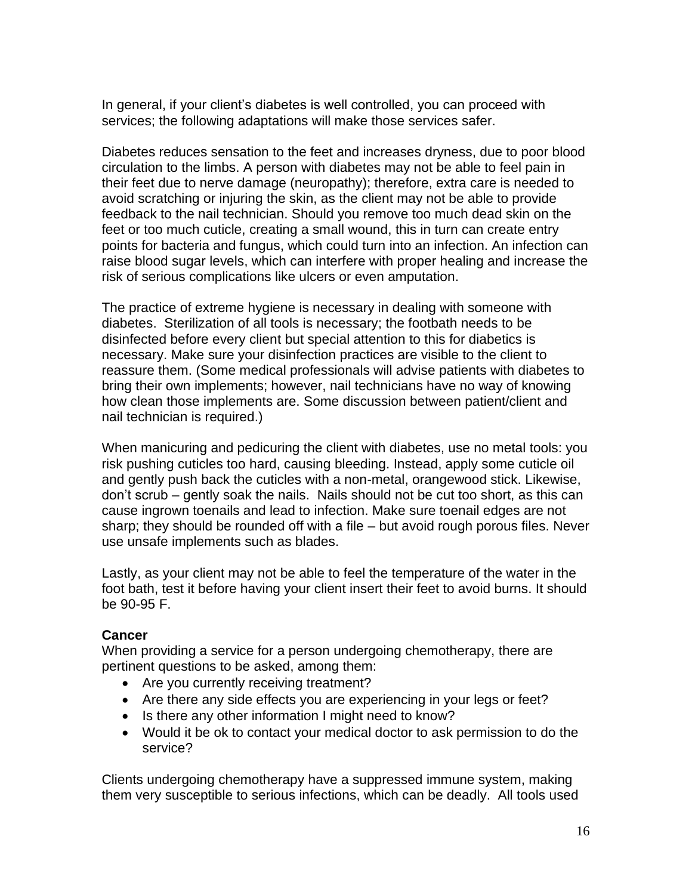In general, if your client's diabetes is well controlled, you can proceed with services; the following adaptations will make those services safer.

Diabetes reduces sensation to the feet and increases dryness, due to poor blood circulation to the limbs. A person with diabetes may not be able to feel pain in their feet due to nerve damage (neuropathy); therefore, extra care is needed to avoid scratching or injuring the skin, as the client may not be able to provide feedback to the nail technician. Should you remove too much dead skin on the feet or too much cuticle, creating a small wound, this in turn can create entry points for bacteria and fungus, which could turn into an infection. An infection can raise blood sugar levels, which can interfere with proper healing and increase the risk of serious complications like ulcers or even amputation.

The practice of extreme hygiene is necessary in dealing with someone with diabetes. Sterilization of all tools is necessary; the footbath needs to be disinfected before every client but special attention to this for diabetics is necessary. Make sure your disinfection practices are visible to the client to reassure them. (Some medical professionals will advise patients with diabetes to bring their own implements; however, nail technicians have no way of knowing how clean those implements are. Some discussion between patient/client and nail technician is required.)

When manicuring and pedicuring the client with diabetes, use no metal tools: you risk pushing cuticles too hard, causing bleeding. Instead, apply some cuticle oil and gently push back the cuticles with a non-metal, orangewood stick. Likewise, don't scrub – gently soak the nails. Nails should not be cut too short, as this can cause ingrown toenails and lead to infection. Make sure toenail edges are not sharp; they should be rounded off with a file – but avoid rough porous files. Never use unsafe implements such as blades.

Lastly, as your client may not be able to feel the temperature of the water in the foot bath, test it before having your client insert their feet to avoid burns. It should be 90-95 F.

## **Cancer**

When providing a service for a person undergoing chemotherapy, there are pertinent questions to be asked, among them:

- Are you currently receiving treatment?
- Are there any side effects you are experiencing in your legs or feet?
- Is there any other information I might need to know?
- Would it be ok to contact your medical doctor to ask permission to do the service?

Clients undergoing chemotherapy have a suppressed immune system, making them very susceptible to serious infections, which can be deadly. All tools used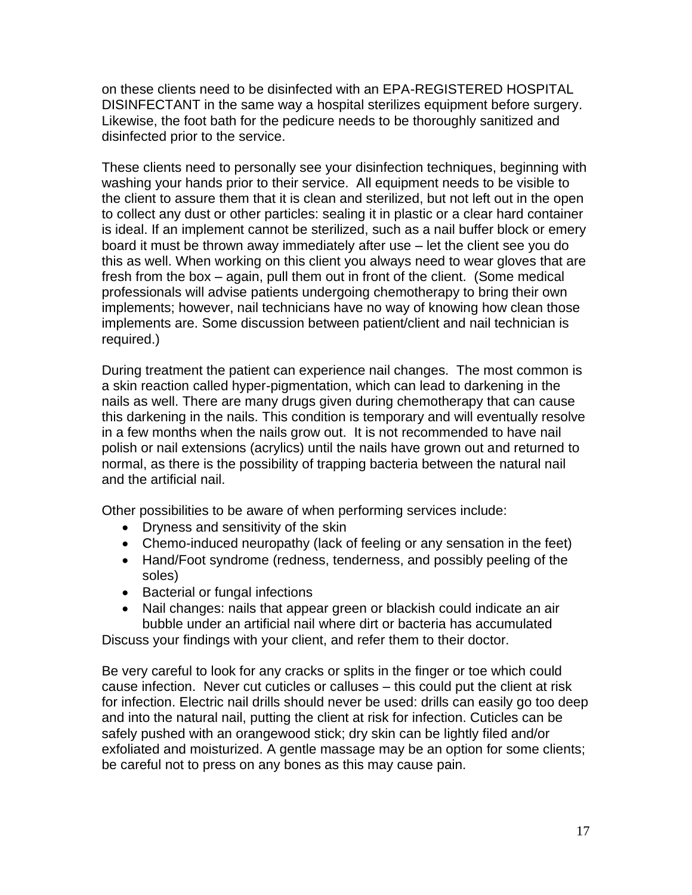on these clients need to be disinfected with an EPA-REGISTERED HOSPITAL DISINFECTANT in the same way a hospital sterilizes equipment before surgery. Likewise, the foot bath for the pedicure needs to be thoroughly sanitized and disinfected prior to the service.

These clients need to personally see your disinfection techniques, beginning with washing your hands prior to their service. All equipment needs to be visible to the client to assure them that it is clean and sterilized, but not left out in the open to collect any dust or other particles: sealing it in plastic or a clear hard container is ideal. If an implement cannot be sterilized, such as a nail buffer block or emery board it must be thrown away immediately after use – let the client see you do this as well. When working on this client you always need to wear gloves that are fresh from the box – again, pull them out in front of the client. (Some medical professionals will advise patients undergoing chemotherapy to bring their own implements; however, nail technicians have no way of knowing how clean those implements are. Some discussion between patient/client and nail technician is required.)

During treatment the patient can experience nail changes. The most common is a skin reaction called hyper-pigmentation, which can lead to darkening in the nails as well. There are many drugs given during chemotherapy that can cause this darkening in the nails. This condition is temporary and will eventually resolve in a few months when the nails grow out. It is not recommended to have nail polish or nail extensions (acrylics) until the nails have grown out and returned to normal, as there is the possibility of trapping bacteria between the natural nail and the artificial nail.

Other possibilities to be aware of when performing services include:

- Dryness and sensitivity of the skin
- Chemo-induced neuropathy (lack of feeling or any sensation in the feet)
- Hand/Foot syndrome (redness, tenderness, and possibly peeling of the soles)
- Bacterial or fungal infections
- Nail changes: nails that appear green or blackish could indicate an air bubble under an artificial nail where dirt or bacteria has accumulated

Discuss your findings with your client, and refer them to their doctor.

Be very careful to look for any cracks or splits in the finger or toe which could cause infection. Never cut cuticles or calluses – this could put the client at risk for infection. Electric nail drills should never be used: drills can easily go too deep and into the natural nail, putting the client at risk for infection. Cuticles can be safely pushed with an orangewood stick; dry skin can be lightly filed and/or exfoliated and moisturized. A gentle massage may be an option for some clients; be careful not to press on any bones as this may cause pain.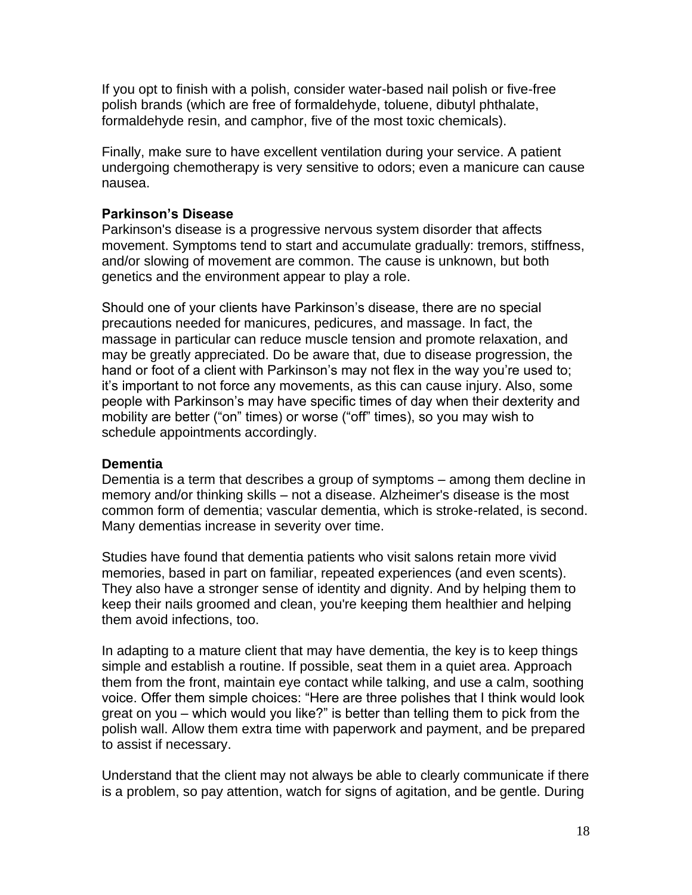If you opt to finish with a polish, consider water-based nail polish or five-free polish brands (which are free of formaldehyde, toluene, dibutyl phthalate, formaldehyde resin, and camphor, five of the most toxic chemicals).

Finally, make sure to have excellent ventilation during your service. A patient undergoing chemotherapy is very sensitive to odors; even a manicure can cause nausea.

## **Parkinson's Disease**

Parkinson's disease is a progressive nervous system disorder that affects movement. Symptoms tend to start and accumulate gradually: tremors, stiffness, and/or slowing of movement are common. The cause is unknown, but both genetics and the environment appear to play a role.

Should one of your clients have Parkinson's disease, there are no special precautions needed for manicures, pedicures, and massage. In fact, the massage in particular can reduce muscle tension and promote relaxation, and may be greatly appreciated. Do be aware that, due to disease progression, the hand or foot of a client with Parkinson's may not flex in the way you're used to; it's important to not force any movements, as this can cause injury. Also, some people with Parkinson's may have specific times of day when their dexterity and mobility are better ("on" times) or worse ("off" times), so you may wish to schedule appointments accordingly.

## **Dementia**

Dementia is a term that describes a group of symptoms – among them decline in memory and/or thinking skills – not a disease. Alzheimer's disease is the most common form of dementia; vascular dementia, which is stroke-related, is second. Many dementias increase in severity over time.

Studies have found that dementia patients who visit salons retain more vivid memories, based in part on familiar, repeated experiences (and even scents). They also have a stronger sense of identity and dignity. And by helping them to keep their nails groomed and clean, you're keeping them healthier and helping them avoid infections, too.

In adapting to a mature client that may have dementia, the key is to keep things simple and establish a routine. If possible, seat them in a quiet area. Approach them from the front, maintain eye contact while talking, and use a calm, soothing voice. Offer them simple choices: "Here are three polishes that I think would look great on you – which would you like?" is better than telling them to pick from the polish wall. Allow them extra time with paperwork and payment, and be prepared to assist if necessary.

Understand that the client may not always be able to clearly communicate if there is a problem, so pay attention, watch for signs of agitation, and be gentle. During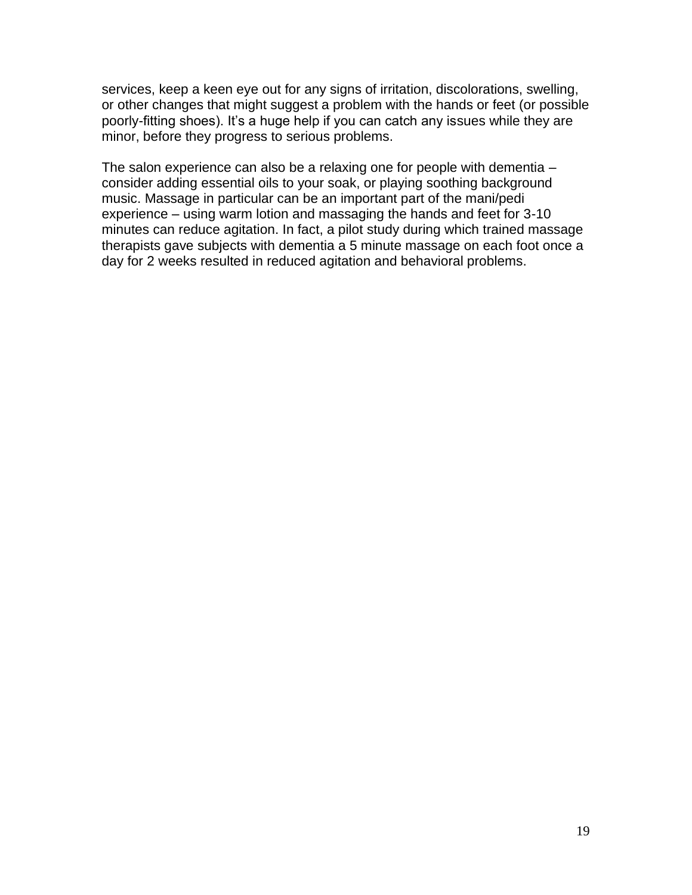services, keep a keen eye out for any signs of irritation, discolorations, swelling, or other changes that might suggest a problem with the hands or feet (or possible poorly-fitting shoes). It's a huge help if you can catch any issues while they are minor, before they progress to serious problems.

The salon experience can also be a relaxing one for people with dementia – consider adding essential oils to your soak, or playing soothing background music. Massage in particular can be an important part of the mani/pedi experience – using warm lotion and massaging the hands and feet for 3-10 minutes can reduce agitation. In fact, a pilot study during which trained massage therapists gave subjects with dementia a 5 minute massage on each foot once a day for 2 weeks resulted in reduced agitation and behavioral problems.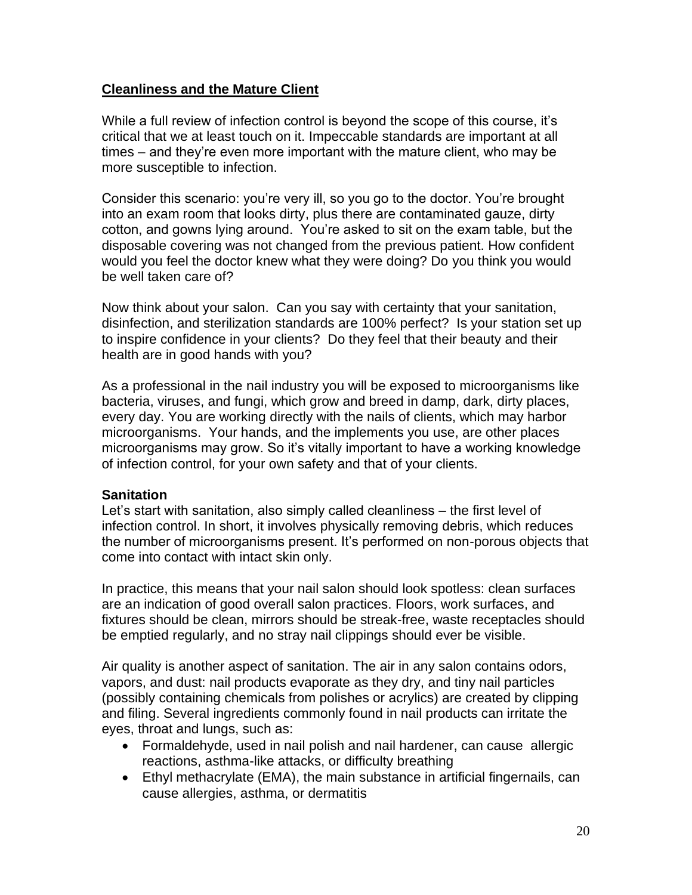## **Cleanliness and the Mature Client**

While a full review of infection control is beyond the scope of this course, it's critical that we at least touch on it. Impeccable standards are important at all times – and they're even more important with the mature client, who may be more susceptible to infection.

Consider this scenario: you're very ill, so you go to the doctor. You're brought into an exam room that looks dirty, plus there are contaminated gauze, dirty cotton, and gowns lying around. You're asked to sit on the exam table, but the disposable covering was not changed from the previous patient. How confident would you feel the doctor knew what they were doing? Do you think you would be well taken care of?

Now think about your salon. Can you say with certainty that your sanitation, disinfection, and sterilization standards are 100% perfect? Is your station set up to inspire confidence in your clients? Do they feel that their beauty and their health are in good hands with you?

As a professional in the nail industry you will be exposed to microorganisms like bacteria, viruses, and fungi, which grow and breed in damp, dark, dirty places, every day. You are working directly with the nails of clients, which may harbor microorganisms. Your hands, and the implements you use, are other places microorganisms may grow. So it's vitally important to have a working knowledge of infection control, for your own safety and that of your clients.

#### **Sanitation**

Let's start with sanitation, also simply called cleanliness – the first level of infection control. In short, it involves physically removing debris, which reduces the number of microorganisms present. It's performed on non-porous objects that come into contact with intact skin only.

In practice, this means that your nail salon should look spotless: clean surfaces are an indication of good overall salon practices. Floors, work surfaces, and fixtures should be clean, mirrors should be streak-free, waste receptacles should be emptied regularly, and no stray nail clippings should ever be visible.

Air quality is another aspect of sanitation. The air in any salon contains odors, vapors, and dust: nail products evaporate as they dry, and tiny nail particles (possibly containing chemicals from polishes or acrylics) are created by clipping and filing. Several ingredients commonly found in nail products can irritate the eyes, throat and lungs, such as:

- Formaldehyde, used in nail polish and nail hardener, can cause allergic reactions, asthma-like attacks, or difficulty breathing
- Ethyl methacrylate (EMA), the main substance in artificial fingernails, can cause allergies, asthma, or dermatitis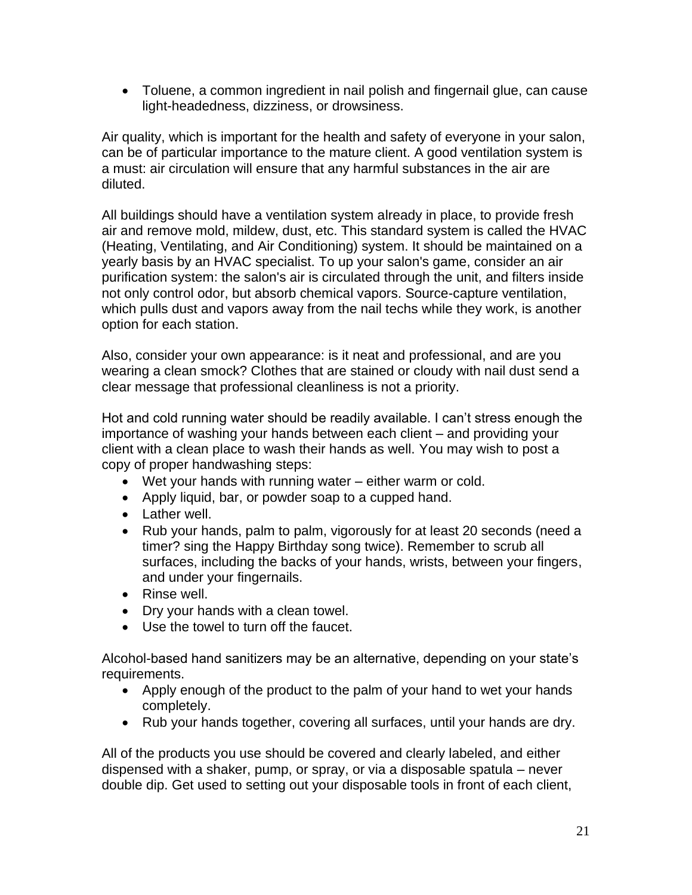• Toluene, a common ingredient in nail polish and fingernail glue, can cause light-headedness, dizziness, or drowsiness.

Air quality, which is important for the health and safety of everyone in your salon, can be of particular importance to the mature client. A good ventilation system is a must: air circulation will ensure that any harmful substances in the air are diluted.

All buildings should have a ventilation system already in place, to provide fresh air and remove mold, mildew, dust, etc. This standard system is called the HVAC (Heating, Ventilating, and Air Conditioning) system. It should be maintained on a yearly basis by an HVAC specialist. To up your salon's game, consider an air purification system: the salon's air is circulated through the unit, and filters inside not only control odor, but absorb chemical vapors. Source-capture ventilation, which pulls dust and vapors away from the nail techs while they work, is another option for each station.

Also, consider your own appearance: is it neat and professional, and are you wearing a clean smock? Clothes that are stained or cloudy with nail dust send a clear message that professional cleanliness is not a priority.

Hot and cold running water should be readily available. I can't stress enough the importance of washing your hands between each client – and providing your client with a clean place to wash their hands as well. You may wish to post a copy of proper handwashing steps:

- Wet your hands with running water either warm or cold.
- Apply liquid, bar, or powder soap to a cupped hand.
- Lather well.
- Rub your hands, palm to palm, vigorously for at least 20 seconds (need a timer? sing the Happy Birthday song twice). Remember to scrub all surfaces, including the backs of your hands, wrists, between your fingers, and under your fingernails.
- Rinse well.
- Dry your hands with a clean towel.
- Use the towel to turn off the faucet.

Alcohol-based hand sanitizers may be an alternative, depending on your state's requirements.

- Apply enough of the product to the palm of your hand to wet your hands completely.
- Rub your hands together, covering all surfaces, until your hands are dry.

All of the products you use should be covered and clearly labeled, and either dispensed with a shaker, pump, or spray, or via a disposable spatula – never double dip. Get used to setting out your disposable tools in front of each client,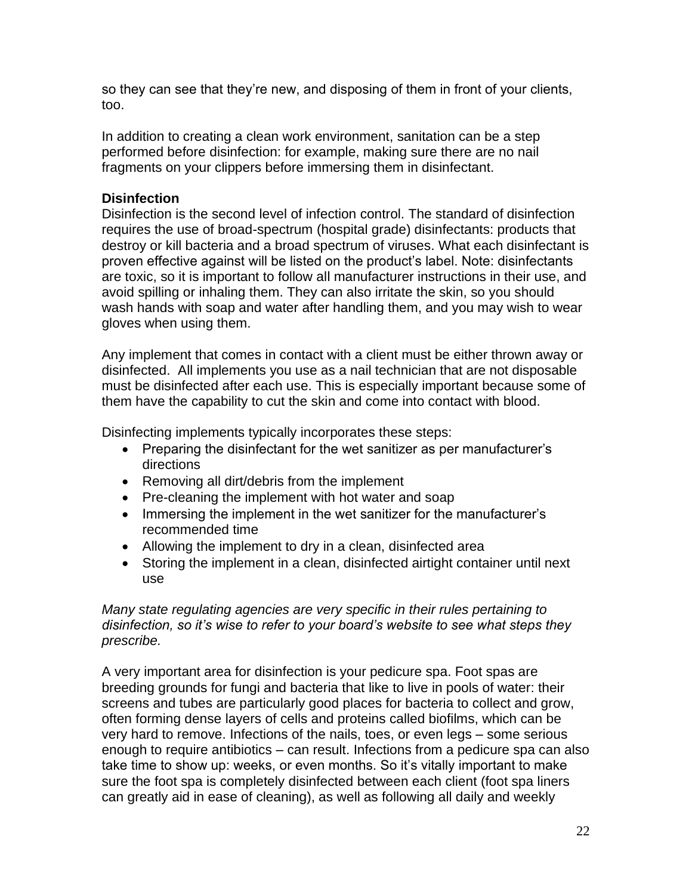so they can see that they're new, and disposing of them in front of your clients, too.

In addition to creating a clean work environment, sanitation can be a step performed before disinfection: for example, making sure there are no nail fragments on your clippers before immersing them in disinfectant.

## **Disinfection**

Disinfection is the second level of infection control. The standard of disinfection requires the use of broad-spectrum (hospital grade) disinfectants: products that destroy or kill bacteria and a broad spectrum of viruses. What each disinfectant is proven effective against will be listed on the product's label. Note: disinfectants are toxic, so it is important to follow all manufacturer instructions in their use, and avoid spilling or inhaling them. They can also irritate the skin, so you should wash hands with soap and water after handling them, and you may wish to wear gloves when using them.

Any implement that comes in contact with a client must be either thrown away or disinfected. All implements you use as a nail technician that are not disposable must be disinfected after each use. This is especially important because some of them have the capability to cut the skin and come into contact with blood.

Disinfecting implements typically incorporates these steps:

- Preparing the disinfectant for the wet sanitizer as per manufacturer's directions
- Removing all dirt/debris from the implement
- Pre-cleaning the implement with hot water and soap
- Immersing the implement in the wet sanitizer for the manufacturer's recommended time
- Allowing the implement to dry in a clean, disinfected area
- Storing the implement in a clean, disinfected airtight container until next use

*Many state regulating agencies are very specific in their rules pertaining to disinfection, so it's wise to refer to your board's website to see what steps they prescribe.* 

A very important area for disinfection is your pedicure spa. Foot spas are breeding grounds for fungi and bacteria that like to live in pools of water: their screens and tubes are particularly good places for bacteria to collect and grow, often forming dense layers of cells and proteins called biofilms, which can be very hard to remove. Infections of the nails, toes, or even legs – some serious enough to require antibiotics – can result. Infections from a pedicure spa can also take time to show up: weeks, or even months. So it's vitally important to make sure the foot spa is completely disinfected between each client (foot spa liners can greatly aid in ease of cleaning), as well as following all daily and weekly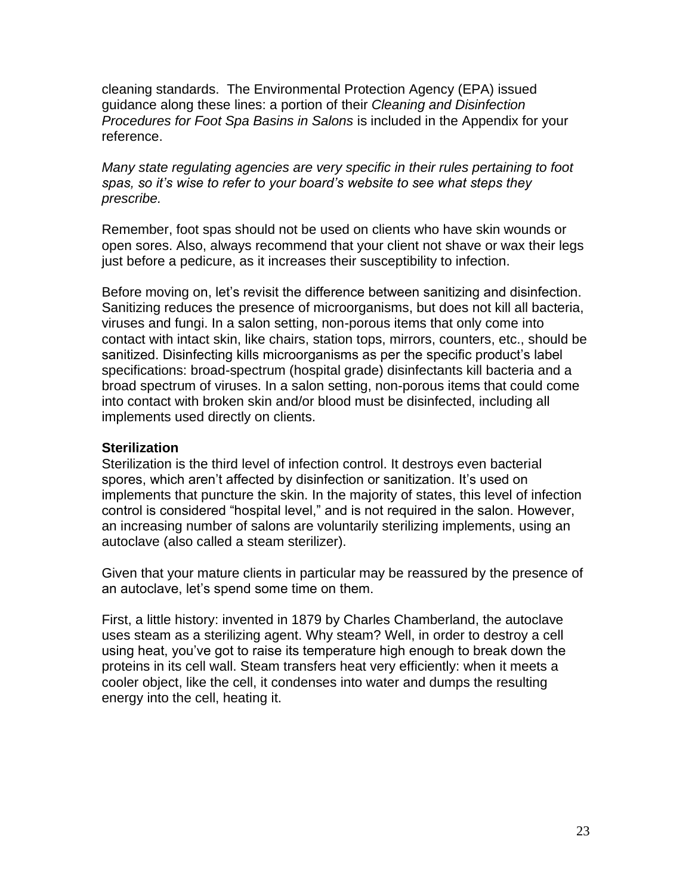cleaning standards. The Environmental Protection Agency (EPA) issued guidance along these lines: a portion of their *Cleaning and Disinfection Procedures for Foot Spa Basins in Salons* is included in the Appendix for your reference.

*Many state regulating agencies are very specific in their rules pertaining to foot spas, so it's wise to refer to your board's website to see what steps they prescribe.* 

Remember, foot spas should not be used on clients who have skin wounds or open sores. Also, always recommend that your client not shave or wax their legs just before a pedicure, as it increases their susceptibility to infection.

Before moving on, let's revisit the difference between sanitizing and disinfection. Sanitizing reduces the presence of microorganisms, but does not kill all bacteria, viruses and fungi. In a salon setting, non-porous items that only come into contact with intact skin, like chairs, station tops, mirrors, counters, etc., should be sanitized. Disinfecting kills microorganisms as per the specific product's label specifications: broad-spectrum (hospital grade) disinfectants kill bacteria and a broad spectrum of viruses. In a salon setting, non-porous items that could come into contact with broken skin and/or blood must be disinfected, including all implements used directly on clients.

#### **Sterilization**

Sterilization is the third level of infection control. It destroys even bacterial spores, which aren't affected by disinfection or sanitization. It's used on implements that puncture the skin. In the majority of states, this level of infection control is considered "hospital level," and is not required in the salon. However, an increasing number of salons are voluntarily sterilizing implements, using an autoclave (also called a steam sterilizer).

Given that your mature clients in particular may be reassured by the presence of an autoclave, let's spend some time on them.

First, a little history: invented in 1879 by Charles Chamberland, the autoclave uses steam as a sterilizing agent. Why steam? Well, in order to destroy a cell using heat, you've got to raise its temperature high enough to break down the proteins in its cell wall. Steam transfers heat very efficiently: when it meets a cooler object, like the cell, it condenses into water and dumps the resulting energy into the cell, heating it.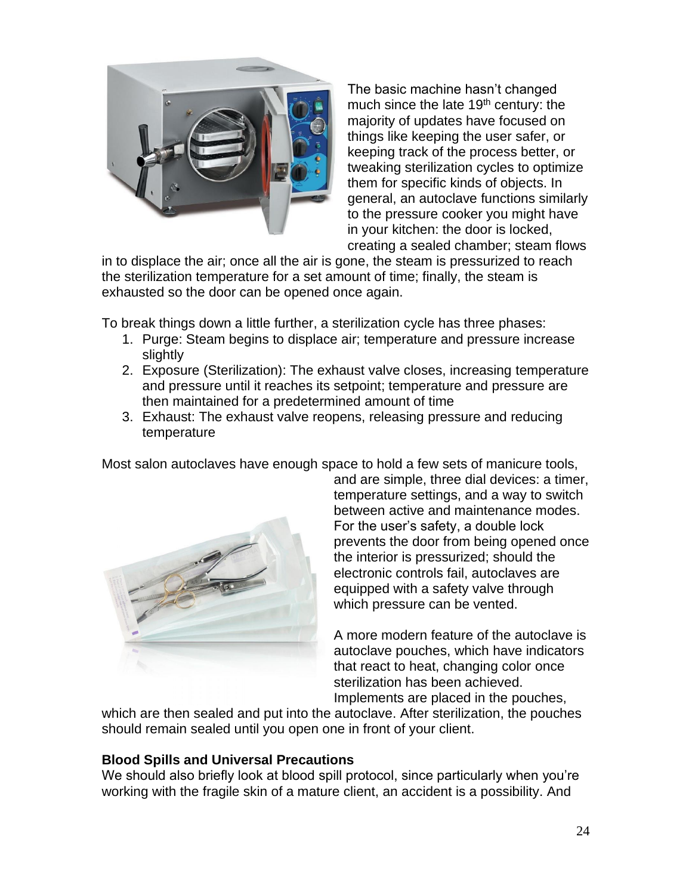

The basic machine hasn't changed much since the late 19<sup>th</sup> century: the majority of updates have focused on things like keeping the user safer, or keeping track of the process better, or tweaking sterilization cycles to optimize them for specific kinds of objects. In general, an autoclave functions similarly to the pressure cooker you might have in your kitchen: the door is locked, creating a sealed chamber; steam flows

in to displace the air; once all the air is gone, the steam is pressurized to reach the sterilization temperature for a set amount of time; finally, the steam is exhausted so the door can be opened once again.

To break things down a little further, a sterilization cycle has three phases:

- 1. Purge: Steam begins to displace air; temperature and pressure increase slightly
- 2. Exposure (Sterilization): The exhaust valve closes, increasing temperature and pressure until it reaches its setpoint; temperature and pressure are then maintained for a predetermined amount of time
- 3. Exhaust: The exhaust valve reopens, releasing pressure and reducing temperature

Most salon autoclaves have enough space to hold a few sets of manicure tools,



and are simple, three dial devices: a timer, temperature settings, and a way to switch between active and maintenance modes. For the user's safety, a double lock prevents the door from being opened once the interior is pressurized; should the electronic controls fail, autoclaves are equipped with a safety valve through which pressure can be vented.

A more modern feature of the autoclave is autoclave pouches, which have indicators that react to heat, changing color once sterilization has been achieved. Implements are placed in the pouches,

which are then sealed and put into the autoclave. After sterilization, the pouches should remain sealed until you open one in front of your client.

## **Blood Spills and Universal Precautions**

We should also briefly look at blood spill protocol, since particularly when you're working with the fragile skin of a mature client, an accident is a possibility. And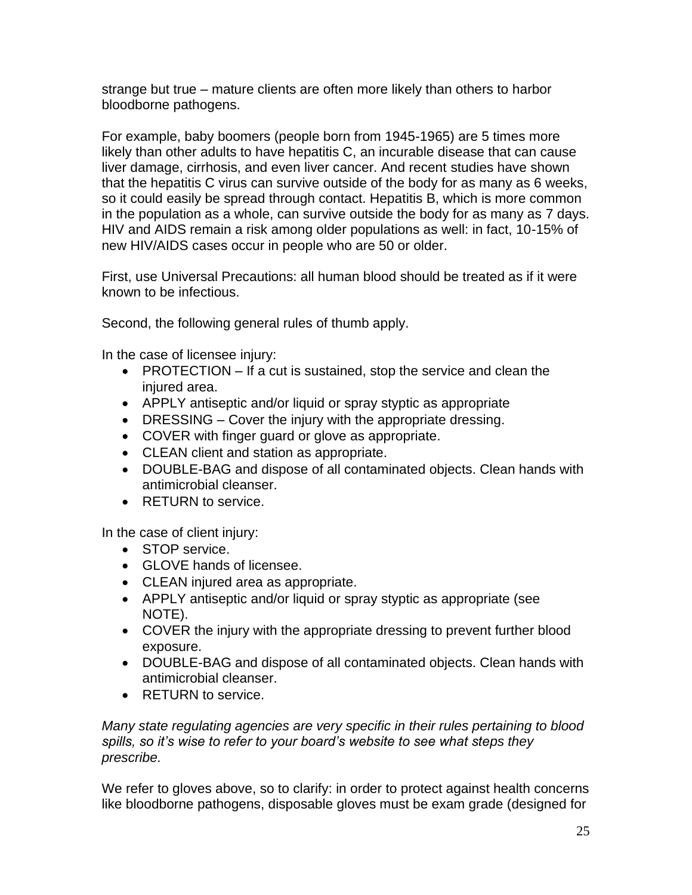strange but true – mature clients are often more likely than others to harbor bloodborne pathogens.

For example, baby boomers (people born from 1945-1965) are 5 times more likely than other adults to have hepatitis C, an incurable disease that can cause liver damage, cirrhosis, and even liver cancer. And recent studies have shown that the hepatitis C virus can survive outside of the body for as many as 6 weeks, so it could easily be spread through contact. Hepatitis B, which is more common in the population as a whole, can survive outside the body for as many as 7 days. HIV and AIDS remain a risk among older populations as well: in fact, 10-15% of new HIV/AIDS cases occur in people who are 50 or older.

First, use Universal Precautions: all human blood should be treated as if it were known to be infectious.

Second, the following general rules of thumb apply.

In the case of licensee injury:

- PROTECTION If a cut is sustained, stop the service and clean the injured area.
- APPLY antiseptic and/or liquid or spray styptic as appropriate
- DRESSING Cover the injury with the appropriate dressing.
- COVER with finger guard or glove as appropriate.
- CLEAN client and station as appropriate.
- DOUBLE-BAG and dispose of all contaminated objects. Clean hands with antimicrobial cleanser.
- RETURN to service.

In the case of client injury:

- STOP service.
- GLOVE hands of licensee.
- CLEAN injured area as appropriate.
- APPLY antiseptic and/or liquid or spray styptic as appropriate (see NOTE).
- COVER the injury with the appropriate dressing to prevent further blood exposure.
- DOUBLE-BAG and dispose of all contaminated objects. Clean hands with antimicrobial cleanser.
- RETURN to service.

*Many state regulating agencies are very specific in their rules pertaining to blood spills, so it's wise to refer to your board's website to see what steps they prescribe.* 

We refer to gloves above, so to clarify: in order to protect against health concerns like bloodborne pathogens, disposable gloves must be exam grade (designed for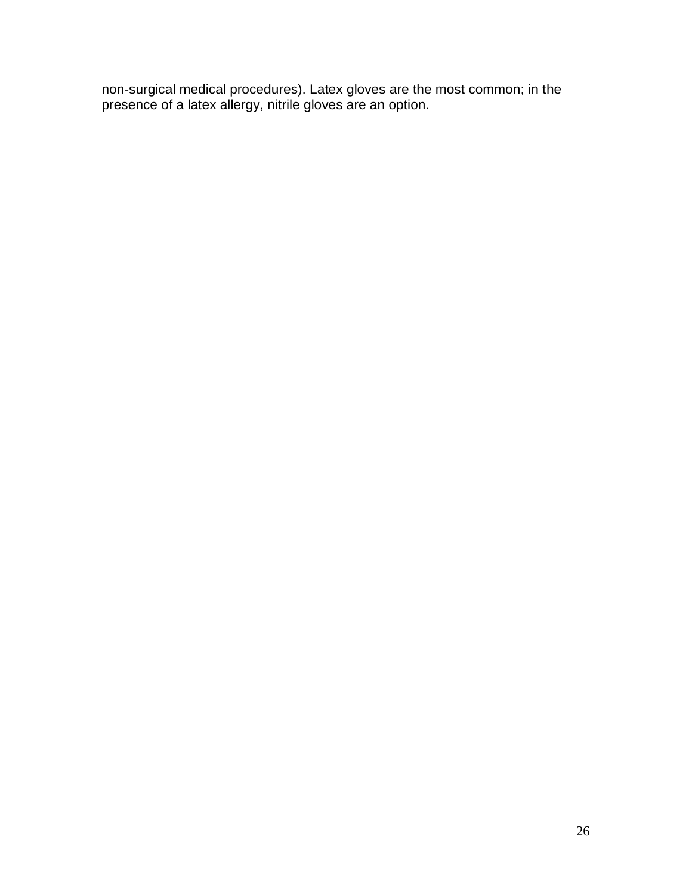non-surgical medical procedures). Latex gloves are the most common; in the presence of a latex allergy, nitrile gloves are an option.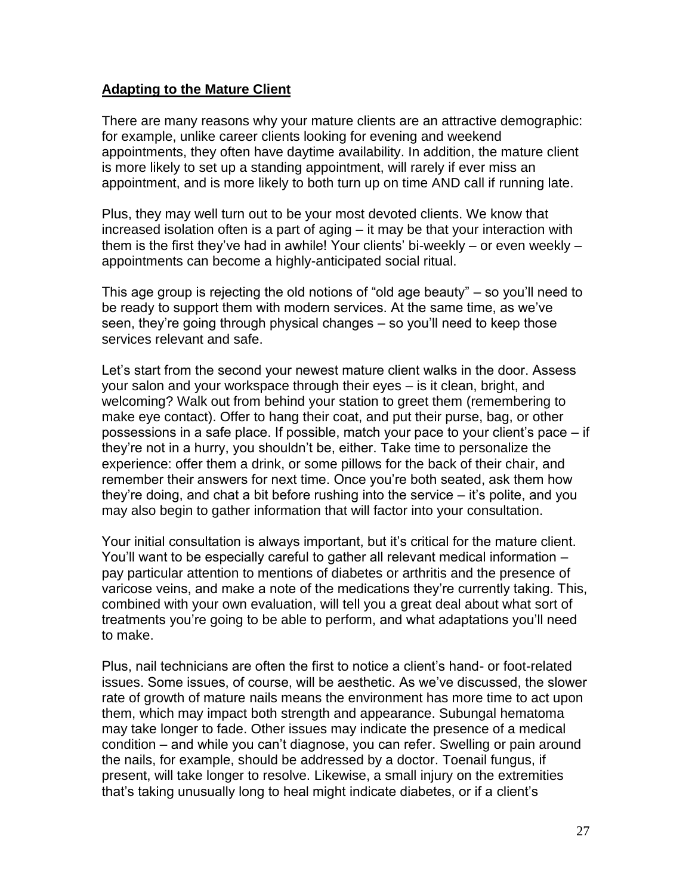## **Adapting to the Mature Client**

There are many reasons why your mature clients are an attractive demographic: for example, unlike career clients looking for evening and weekend appointments, they often have daytime availability. In addition, the mature client is more likely to set up a standing appointment, will rarely if ever miss an appointment, and is more likely to both turn up on time AND call if running late.

Plus, they may well turn out to be your most devoted clients. We know that increased isolation often is a part of aging – it may be that your interaction with them is the first they've had in awhile! Your clients' bi-weekly – or even weekly – appointments can become a highly-anticipated social ritual.

This age group is rejecting the old notions of "old age beauty" – so you'll need to be ready to support them with modern services. At the same time, as we've seen, they're going through physical changes – so you'll need to keep those services relevant and safe.

Let's start from the second your newest mature client walks in the door. Assess your salon and your workspace through their eyes – is it clean, bright, and welcoming? Walk out from behind your station to greet them (remembering to make eye contact). Offer to hang their coat, and put their purse, bag, or other possessions in a safe place. If possible, match your pace to your client's pace – if they're not in a hurry, you shouldn't be, either. Take time to personalize the experience: offer them a drink, or some pillows for the back of their chair, and remember their answers for next time. Once you're both seated, ask them how they're doing, and chat a bit before rushing into the service – it's polite, and you may also begin to gather information that will factor into your consultation.

Your initial consultation is always important, but it's critical for the mature client. You'll want to be especially careful to gather all relevant medical information – pay particular attention to mentions of diabetes or arthritis and the presence of varicose veins, and make a note of the medications they're currently taking. This, combined with your own evaluation, will tell you a great deal about what sort of treatments you're going to be able to perform, and what adaptations you'll need to make.

Plus, nail technicians are often the first to notice a client's hand- or foot-related issues. Some issues, of course, will be aesthetic. As we've discussed, the slower rate of growth of mature nails means the environment has more time to act upon them, which may impact both strength and appearance. Subungal hematoma may take longer to fade. Other issues may indicate the presence of a medical condition – and while you can't diagnose, you can refer. Swelling or pain around the nails, for example, should be addressed by a doctor. Toenail fungus, if present, will take longer to resolve. Likewise, a small injury on the extremities that's taking unusually long to heal might indicate diabetes, or if a client's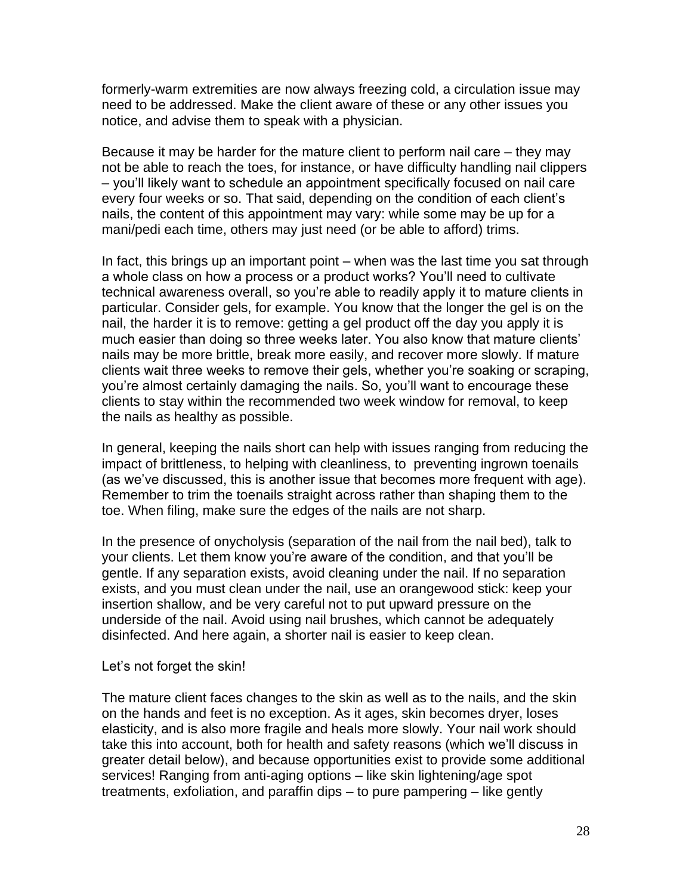formerly-warm extremities are now always freezing cold, a circulation issue may need to be addressed. Make the client aware of these or any other issues you notice, and advise them to speak with a physician.

Because it may be harder for the mature client to perform nail care – they may not be able to reach the toes, for instance, or have difficulty handling nail clippers – you'll likely want to schedule an appointment specifically focused on nail care every four weeks or so. That said, depending on the condition of each client's nails, the content of this appointment may vary: while some may be up for a mani/pedi each time, others may just need (or be able to afford) trims.

In fact, this brings up an important point – when was the last time you sat through a whole class on how a process or a product works? You'll need to cultivate technical awareness overall, so you're able to readily apply it to mature clients in particular. Consider gels, for example. You know that the longer the gel is on the nail, the harder it is to remove: getting a gel product off the day you apply it is much easier than doing so three weeks later. You also know that mature clients' nails may be more brittle, break more easily, and recover more slowly. If mature clients wait three weeks to remove their gels, whether you're soaking or scraping, you're almost certainly damaging the nails. So, you'll want to encourage these clients to stay within the recommended two week window for removal, to keep the nails as healthy as possible.

In general, keeping the nails short can help with issues ranging from reducing the impact of brittleness, to helping with cleanliness, to preventing ingrown toenails (as we've discussed, this is another issue that becomes more frequent with age). Remember to trim the toenails straight across rather than shaping them to the toe. When filing, make sure the edges of the nails are not sharp.

In the presence of onycholysis (separation of the nail from the nail bed), talk to your clients. Let them know you're aware of the condition, and that you'll be gentle. If any separation exists, avoid cleaning under the nail. If no separation exists, and you must clean under the nail, use an orangewood stick: keep your insertion shallow, and be very careful not to put upward pressure on the underside of the nail. Avoid using nail brushes, which cannot be adequately disinfected. And here again, a shorter nail is easier to keep clean.

#### Let's not forget the skin!

The mature client faces changes to the skin as well as to the nails, and the skin on the hands and feet is no exception. As it ages, skin becomes dryer, loses elasticity, and is also more fragile and heals more slowly. Your nail work should take this into account, both for health and safety reasons (which we'll discuss in greater detail below), and because opportunities exist to provide some additional services! Ranging from anti-aging options – like skin lightening/age spot treatments, exfoliation, and paraffin dips – to pure pampering – like gently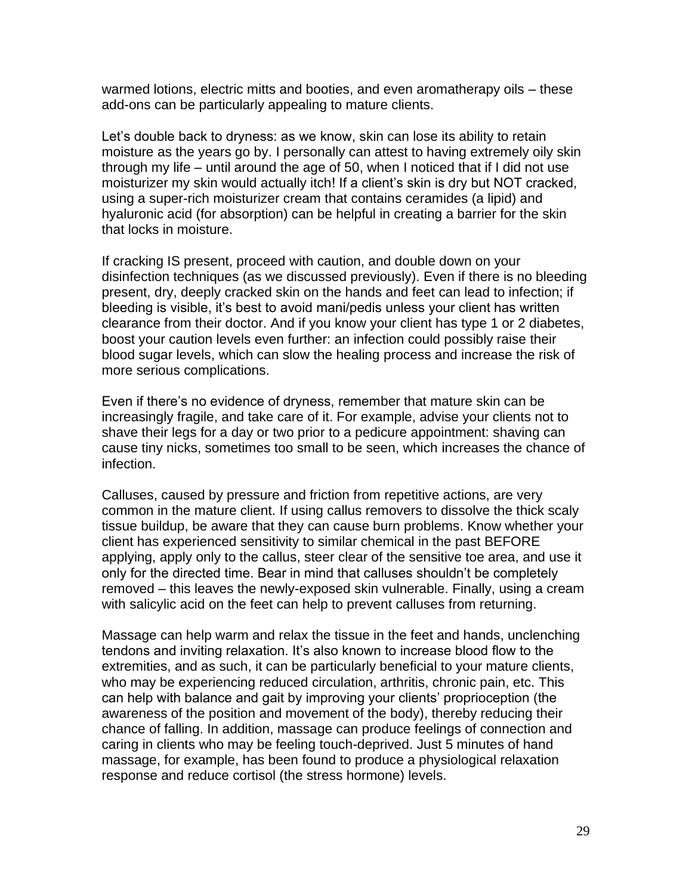warmed lotions, electric mitts and booties, and even aromatherapy oils – these add-ons can be particularly appealing to mature clients.

Let's double back to dryness: as we know, skin can lose its ability to retain moisture as the years go by. I personally can attest to having extremely oily skin through my life – until around the age of 50, when I noticed that if I did not use moisturizer my skin would actually itch! If a client's skin is dry but NOT cracked, using a super-rich moisturizer cream that contains ceramides (a lipid) and hyaluronic acid (for absorption) can be helpful in creating a barrier for the skin that locks in moisture.

If cracking IS present, proceed with caution, and double down on your disinfection techniques (as we discussed previously). Even if there is no bleeding present, dry, deeply cracked skin on the hands and feet can lead to infection; if bleeding is visible, it's best to avoid mani/pedis unless your client has written clearance from their doctor. And if you know your client has type 1 or 2 diabetes, boost your caution levels even further: an infection could possibly raise their blood sugar levels, which can slow the healing process and increase the risk of more serious complications.

Even if there's no evidence of dryness, remember that mature skin can be increasingly fragile, and take care of it. For example, advise your clients not to shave their legs for a day or two prior to a pedicure appointment: shaving can cause tiny nicks, sometimes too small to be seen, which increases the chance of infection.

Calluses, caused by pressure and friction from repetitive actions, are very common in the mature client. If using callus removers to dissolve the thick scaly tissue buildup, be aware that they can cause burn problems. Know whether your client has experienced sensitivity to similar chemical in the past BEFORE applying, apply only to the callus, steer clear of the sensitive toe area, and use it only for the directed time. Bear in mind that calluses shouldn't be completely removed – this leaves the newly-exposed skin vulnerable. Finally, using a cream with salicylic acid on the feet can help to prevent calluses from returning.

Massage can help warm and relax the tissue in the feet and hands, unclenching tendons and inviting relaxation. It's also known to increase blood flow to the extremities, and as such, it can be particularly beneficial to your mature clients, who may be experiencing reduced circulation, arthritis, chronic pain, etc. This can help with balance and gait by improving your clients' proprioception (the awareness of the position and movement of the body), thereby reducing their chance of falling. In addition, massage can produce feelings of connection and caring in clients who may be feeling touch-deprived. Just 5 minutes of hand massage, for example, has been found to produce a physiological relaxation response and reduce cortisol (the stress hormone) levels.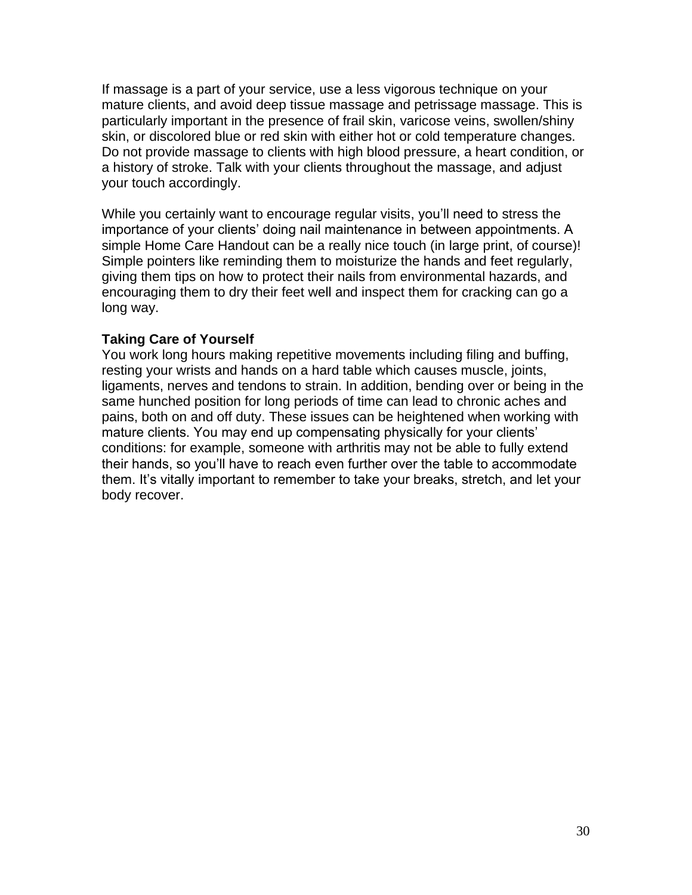If massage is a part of your service, use a less vigorous technique on your mature clients, and avoid deep tissue massage and petrissage massage. This is particularly important in the presence of frail skin, varicose veins, swollen/shiny skin, or discolored blue or red skin with either hot or cold temperature changes. Do not provide massage to clients with high blood pressure, a heart condition, or a history of stroke. Talk with your clients throughout the massage, and adjust your touch accordingly.

While you certainly want to encourage regular visits, you'll need to stress the importance of your clients' doing nail maintenance in between appointments. A simple Home Care Handout can be a really nice touch (in large print, of course)! Simple pointers like reminding them to moisturize the hands and feet regularly, giving them tips on how to protect their nails from environmental hazards, and encouraging them to dry their feet well and inspect them for cracking can go a long way.

#### **Taking Care of Yourself**

You work long hours making repetitive movements including filing and buffing, resting your wrists and hands on a hard table which causes muscle, joints, ligaments, nerves and tendons to strain. In addition, bending over or being in the same hunched position for long periods of time can lead to chronic aches and pains, both on and off duty. These issues can be heightened when working with mature clients. You may end up compensating physically for your clients' conditions: for example, someone with arthritis may not be able to fully extend their hands, so you'll have to reach even further over the table to accommodate them. It's vitally important to remember to take your breaks, stretch, and let your body recover.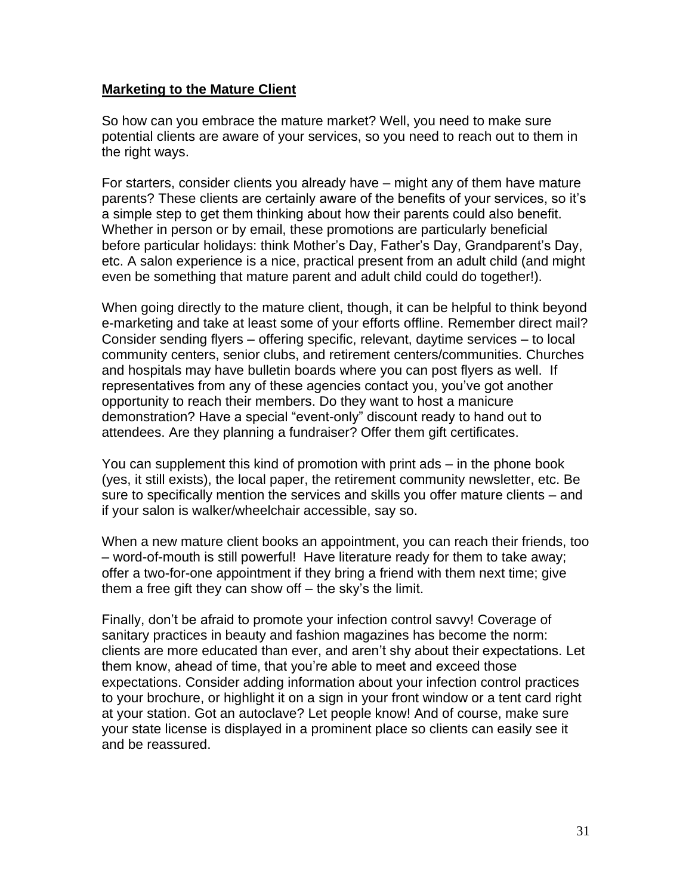## **Marketing to the Mature Client**

So how can you embrace the mature market? Well, you need to make sure potential clients are aware of your services, so you need to reach out to them in the right ways.

For starters, consider clients you already have – might any of them have mature parents? These clients are certainly aware of the benefits of your services, so it's a simple step to get them thinking about how their parents could also benefit. Whether in person or by email, these promotions are particularly beneficial before particular holidays: think Mother's Day, Father's Day, Grandparent's Day, etc. A salon experience is a nice, practical present from an adult child (and might even be something that mature parent and adult child could do together!).

When going directly to the mature client, though, it can be helpful to think beyond e-marketing and take at least some of your efforts offline. Remember direct mail? Consider sending flyers – offering specific, relevant, daytime services – to local community centers, senior clubs, and retirement centers/communities. Churches and hospitals may have bulletin boards where you can post flyers as well. If representatives from any of these agencies contact you, you've got another opportunity to reach their members. Do they want to host a manicure demonstration? Have a special "event-only" discount ready to hand out to attendees. Are they planning a fundraiser? Offer them gift certificates.

You can supplement this kind of promotion with print ads – in the phone book (yes, it still exists), the local paper, the retirement community newsletter, etc. Be sure to specifically mention the services and skills you offer mature clients – and if your salon is walker/wheelchair accessible, say so.

When a new mature client books an appointment, you can reach their friends, too – word-of-mouth is still powerful! Have literature ready for them to take away; offer a two-for-one appointment if they bring a friend with them next time; give them a free gift they can show off – the sky's the limit.

Finally, don't be afraid to promote your infection control savvy! Coverage of sanitary practices in beauty and fashion magazines has become the norm: clients are more educated than ever, and aren't shy about their expectations. Let them know, ahead of time, that you're able to meet and exceed those expectations. Consider adding information about your infection control practices to your brochure, or highlight it on a sign in your front window or a tent card right at your station. Got an autoclave? Let people know! And of course, make sure your state license is displayed in a prominent place so clients can easily see it and be reassured.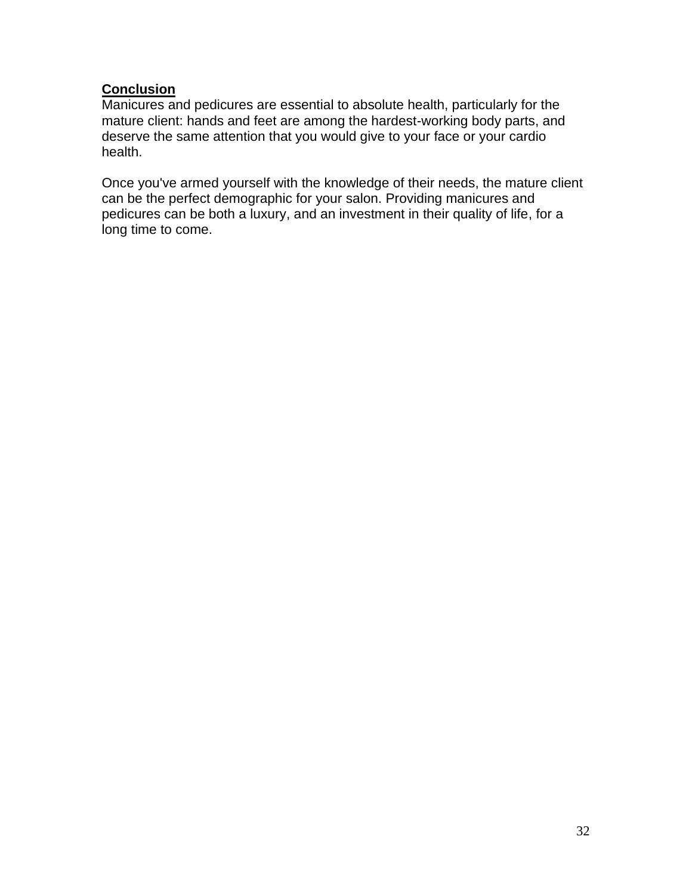## **Conclusion**

Manicures and pedicures are essential to absolute health, particularly for the mature client: hands and feet are among the hardest-working body parts, and deserve the same attention that you would give to your face or your cardio health.

Once you've armed yourself with the knowledge of their needs, the mature client can be the perfect demographic for your salon. Providing manicures and pedicures can be both a luxury, and an investment in their quality of life, for a long time to come.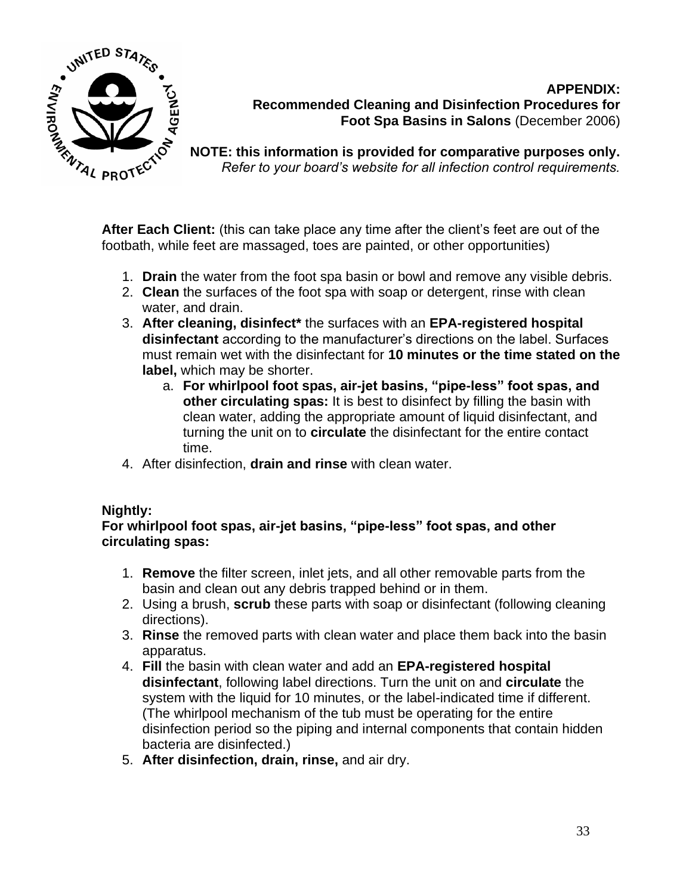

## **APPENDIX: Recommended Cleaning and Disinfection Procedures for Foot Spa Basins in Salons** (December 2006)

**NOTE: this information is provided for comparative purposes only.**  *Refer to your board's website for all infection control requirements.* 

**After Each Client:** (this can take place any time after the client's feet are out of the footbath, while feet are massaged, toes are painted, or other opportunities)

- 1. **Drain** the water from the foot spa basin or bowl and remove any visible debris.
- 2. **Clean** the surfaces of the foot spa with soap or detergent, rinse with clean water, and drain.
- 3. **After cleaning, disinfect\*** the surfaces with an **EPA-registered hospital disinfectant** according to the manufacturer's directions on the label. Surfaces must remain wet with the disinfectant for **10 minutes or the time stated on the label,** which may be shorter.
	- a. **For whirlpool foot spas, air-jet basins, "pipe-less" foot spas, and other circulating spas:** It is best to disinfect by filling the basin with clean water, adding the appropriate amount of liquid disinfectant, and turning the unit on to **circulate** the disinfectant for the entire contact time.
- 4. After disinfection, **drain and rinse** with clean water.

## **Nightly:**

**For whirlpool foot spas, air-jet basins, "pipe-less" foot spas, and other circulating spas:**

- 1. **Remove** the filter screen, inlet jets, and all other removable parts from the basin and clean out any debris trapped behind or in them.
- 2. Using a brush, **scrub** these parts with soap or disinfectant (following cleaning directions).
- 3. **Rinse** the removed parts with clean water and place them back into the basin apparatus.
- 4. **Fill** the basin with clean water and add an **EPA-registered hospital disinfectant**, following label directions. Turn the unit on and **circulate** the system with the liquid for 10 minutes, or the label-indicated time if different. (The whirlpool mechanism of the tub must be operating for the entire disinfection period so the piping and internal components that contain hidden bacteria are disinfected.)
- 5. **After disinfection, drain, rinse,** and air dry.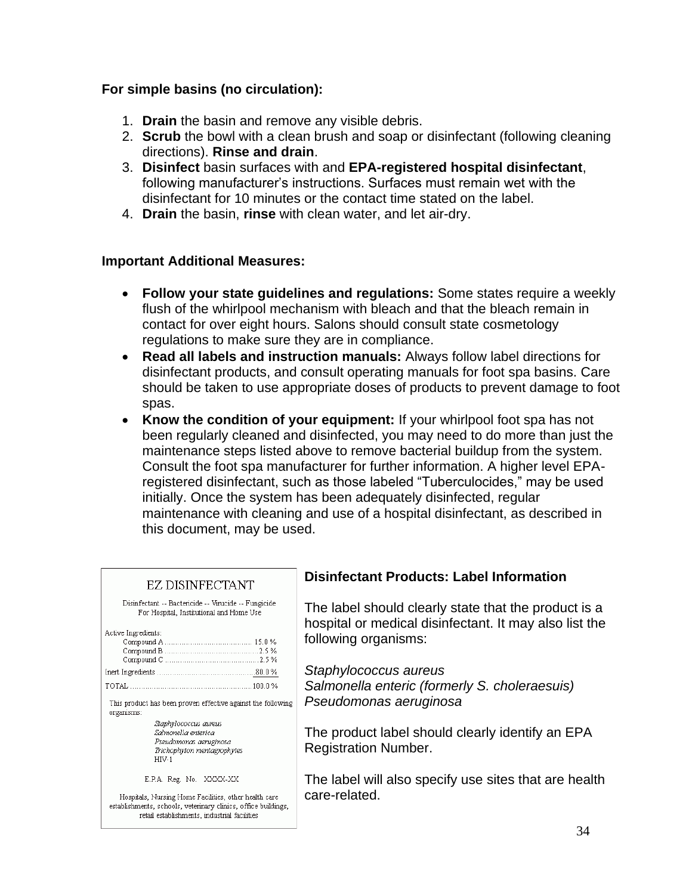## **For simple basins (no circulation):**

- 1. **Drain** the basin and remove any visible debris.
- 2. **Scrub** the bowl with a clean brush and soap or disinfectant (following cleaning directions). **Rinse and drain**.
- 3. **Disinfect** basin surfaces with and **EPA-registered hospital disinfectant**, following manufacturer's instructions. Surfaces must remain wet with the disinfectant for 10 minutes or the contact time stated on the label.
- 4. **Drain** the basin, **rinse** with clean water, and let air-dry.

## **Important Additional Measures:**

- **Follow your state guidelines and regulations:** Some states require a weekly flush of the whirlpool mechanism with bleach and that the bleach remain in contact for over eight hours. Salons should consult state cosmetology regulations to make sure they are in compliance.
- **Read all labels and instruction manuals:** Always follow label directions for disinfectant products, and consult operating manuals for foot spa basins. Care should be taken to use appropriate doses of products to prevent damage to foot spas.
- **Know the condition of your equipment:** If your whirlpool foot spa has not been regularly cleaned and disinfected, you may need to do more than just the maintenance steps listed above to remove bacterial buildup from the system. Consult the foot spa manufacturer for further information. A higher level EPAregistered disinfectant, such as those labeled "Tuberculocides," may be used initially. Once the system has been adequately disinfected, regular maintenance with cleaning and use of a hospital disinfectant, as described in this document, may be used.

| EZ DISINFECTANT                                                                                                                                                         | <b>Disinfectant Products: Label Information</b>                                                                |
|-------------------------------------------------------------------------------------------------------------------------------------------------------------------------|----------------------------------------------------------------------------------------------------------------|
| Disinfectant -- Bactericide -- Virucide -- Fungicide<br>For Hospital, Institutional and Home Use                                                                        | The label should clearly state that the product is a<br>hospital or medical disinfectant. It may also list the |
| Active Ingredients:                                                                                                                                                     | following organisms:                                                                                           |
|                                                                                                                                                                         | Staphylococcus aureus                                                                                          |
|                                                                                                                                                                         | Salmonella enteric (formerly S. choleraesuis)                                                                  |
| This product has been proven effective against the following<br>organisms:                                                                                              | Pseudomonas aeruginosa                                                                                         |
| Staphylococcus aureus<br>Salmonella enterica<br>Pseudomonas aeruginosa<br>Trichophyton mentagrophytes<br>$HIV-1$                                                        | The product label should clearly identify an EPA<br><b>Registration Number.</b>                                |
| E.P.A. Reg. No. XXXX-XX                                                                                                                                                 | The label will also specify use sites that are health                                                          |
| Hospitals, Nursing Home Facilities, other health care<br>establishments, schools, veterinary clinics, office buildings,<br>retail establishments, industrial facilities | care-related.                                                                                                  |
|                                                                                                                                                                         | $\Omega$                                                                                                       |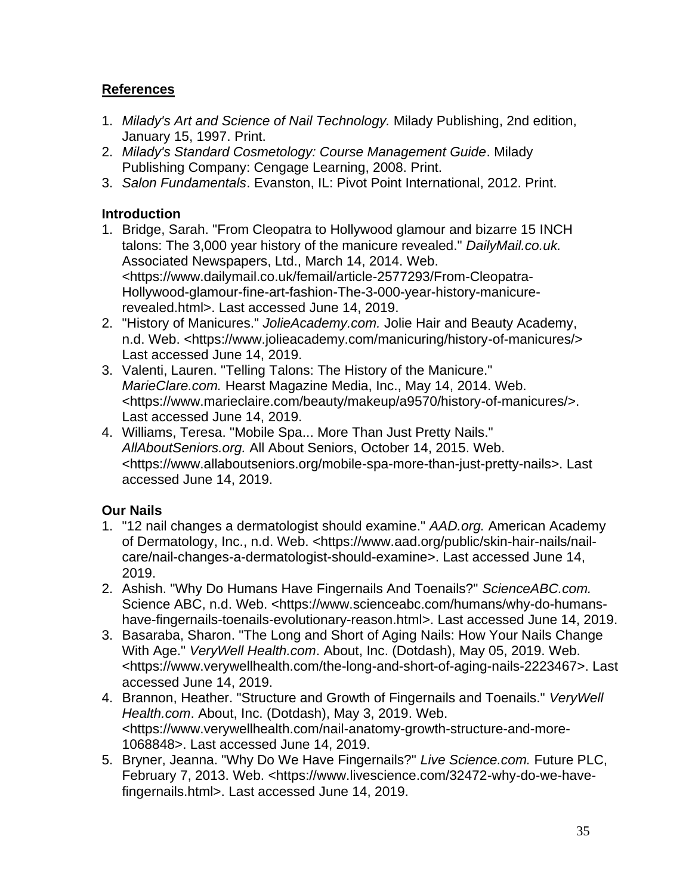# **References**

- 1. *Milady's Art and Science of Nail Technology.* Milady Publishing, 2nd edition, January 15, 1997. Print.
- 2. *Milady's Standard Cosmetology: Course Management Guide*. Milady Publishing Company: Cengage Learning, 2008. Print.
- 3. *Salon Fundamentals*. Evanston, IL: Pivot Point International, 2012. Print.

# **Introduction**

- 1. Bridge, Sarah. "From Cleopatra to Hollywood glamour and bizarre 15 INCH talons: The 3,000 year history of the manicure revealed." *DailyMail.co.uk.* Associated Newspapers, Ltd., March 14, 2014. Web. <https://www.dailymail.co.uk/femail/article-2577293/From-Cleopatra-Hollywood-glamour-fine-art-fashion-The-3-000-year-history-manicurerevealed.html>. Last accessed June 14, 2019.
- 2. "History of Manicures." *JolieAcademy.com.* Jolie Hair and Beauty Academy, n.d. Web. <https://www.jolieacademy.com/manicuring/history-of-manicures/> Last accessed June 14, 2019.
- 3. Valenti, Lauren. "Telling Talons: The History of the Manicure." *MarieClare.com.* Hearst Magazine Media, Inc., May 14, 2014. Web. <https://www.marieclaire.com/beauty/makeup/a9570/history-of-manicures/>. Last accessed June 14, 2019.
- 4. Williams, Teresa. "Mobile Spa... More Than Just Pretty Nails." *AllAboutSeniors.org.* All About Seniors, October 14, 2015. Web. <https://www.allaboutseniors.org/mobile-spa-more-than-just-pretty-nails>. Last accessed June 14, 2019.

# **Our Nails**

- 1. "12 nail changes a dermatologist should examine." *AAD.org.* American Academy of Dermatology, Inc., n.d. Web. <https://www.aad.org/public/skin-hair-nails/nailcare/nail-changes-a-dermatologist-should-examine>. Last accessed June 14, 2019.
- 2. Ashish. "Why Do Humans Have Fingernails And Toenails?" *ScienceABC.com.* Science ABC, n.d. Web. <https://www.scienceabc.com/humans/why-do-humanshave-fingernails-toenails-evolutionary-reason.html>. Last accessed June 14, 2019.
- 3. Basaraba, Sharon. "The Long and Short of Aging Nails: How Your Nails Change With Age." *VeryWell Health.com*. About, Inc. (Dotdash), May 05, 2019. Web. <https://www.verywellhealth.com/the-long-and-short-of-aging-nails-2223467>. Last accessed June 14, 2019.
- 4. Brannon, Heather. "Structure and Growth of Fingernails and Toenails." *VeryWell Health.com*. About, Inc. (Dotdash), May 3, 2019. Web. <https://www.verywellhealth.com/nail-anatomy-growth-structure-and-more-1068848>. Last accessed June 14, 2019.
- 5. Bryner, Jeanna. "Why Do We Have Fingernails?" *Live Science.com.* Future PLC, February 7, 2013. Web. <https://www.livescience.com/32472-why-do-we-havefingernails.html>. Last accessed June 14, 2019.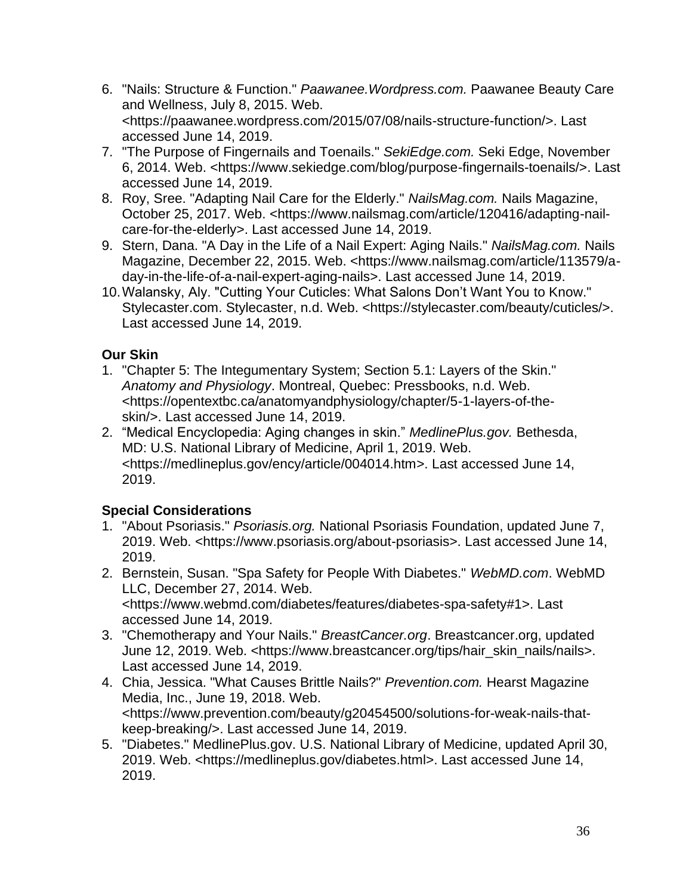- 6. "Nails: Structure & Function." *Paawanee.Wordpress.com.* Paawanee Beauty Care and Wellness, July 8, 2015. Web. <https://paawanee.wordpress.com/2015/07/08/nails-structure-function/>. Last accessed June 14, 2019.
- 7. "The Purpose of Fingernails and Toenails." *SekiEdge.com.* Seki Edge, November 6, 2014. Web. <https://www.sekiedge.com/blog/purpose-fingernails-toenails/>. Last accessed June 14, 2019.
- 8. Roy, Sree. "Adapting Nail Care for the Elderly." *NailsMag.com.* Nails Magazine, October 25, 2017. Web. <https://www.nailsmag.com/article/120416/adapting-nailcare-for-the-elderly>. Last accessed June 14, 2019.
- 9. Stern, Dana. "A Day in the Life of a Nail Expert: Aging Nails." *NailsMag.com.* Nails Magazine, December 22, 2015. Web. <https://www.nailsmag.com/article/113579/aday-in-the-life-of-a-nail-expert-aging-nails>. Last accessed June 14, 2019.
- 10.Walansky, Aly. "Cutting Your Cuticles: What Salons Don't Want You to Know." Stylecaster.com. Stylecaster, n.d. Web. <https://stylecaster.com/beauty/cuticles/>. Last accessed June 14, 2019.

# **Our Skin**

- 1. "Chapter 5: The Integumentary System; Section 5.1: Layers of the Skin." *Anatomy and Physiology*. Montreal, Quebec: Pressbooks, n.d. Web. <https://opentextbc.ca/anatomyandphysiology/chapter/5-1-layers-of-theskin/>. Last accessed June 14, 2019.
- 2. "Medical Encyclopedia: Aging changes in skin." *MedlinePlus.gov.* Bethesda, MD: U.S. National Library of Medicine, April 1, 2019. Web. <https://medlineplus.gov/ency/article/004014.htm>. Last accessed June 14, 2019.

# **Special Considerations**

- 1. "About Psoriasis." *Psoriasis.org.* National Psoriasis Foundation, updated June 7, 2019. Web. <https://www.psoriasis.org/about-psoriasis>. Last accessed June 14, 2019.
- 2. Bernstein, Susan. "Spa Safety for People With Diabetes." *WebMD.com*. WebMD LLC, December 27, 2014. Web. <https://www.webmd.com/diabetes/features/diabetes-spa-safety#1>. Last accessed June 14, 2019.
- 3. "Chemotherapy and Your Nails." *BreastCancer.org*. Breastcancer.org, updated June 12, 2019. Web. <https://www.breastcancer.org/tips/hair\_skin\_nails/nails>. Last accessed June 14, 2019.
- 4. Chia, Jessica. "What Causes Brittle Nails?" *Prevention.com.* Hearst Magazine Media, Inc., June 19, 2018. Web. <https://www.prevention.com/beauty/g20454500/solutions-for-weak-nails-thatkeep-breaking/>. Last accessed June 14, 2019.
- 5. "Diabetes." MedlinePlus.gov. U.S. National Library of Medicine, updated April 30, 2019. Web. <https://medlineplus.gov/diabetes.html>. Last accessed June 14, 2019.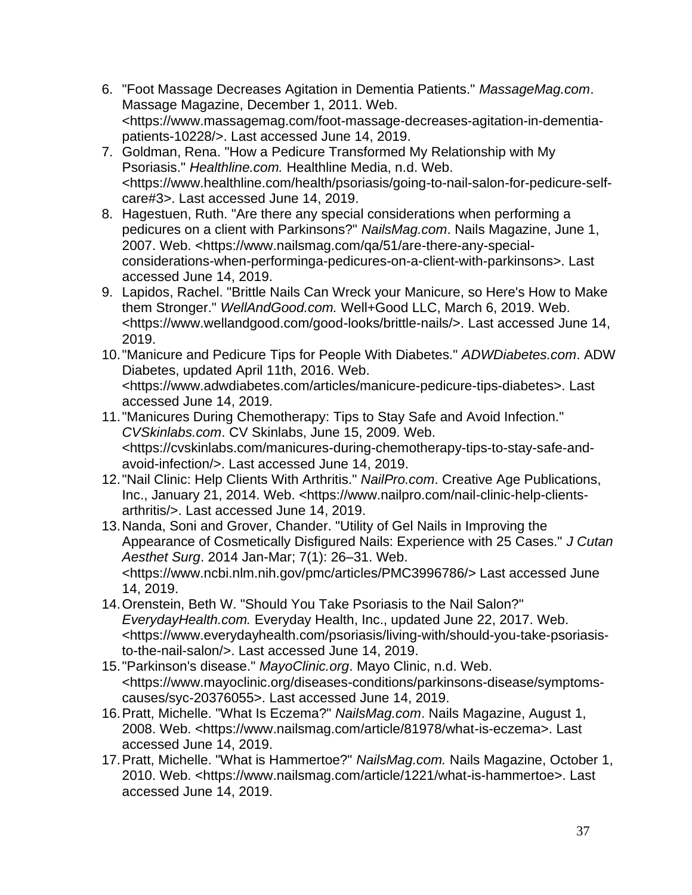- 6. "Foot Massage Decreases Agitation in Dementia Patients." *MassageMag.com*. Massage Magazine, December 1, 2011. Web. <https://www.massagemag.com/foot-massage-decreases-agitation-in-dementiapatients-10228/>. Last accessed June 14, 2019.
- 7. Goldman, Rena. "How a Pedicure Transformed My Relationship with My Psoriasis." *Healthline.com.* Healthline Media, n.d. Web. <https://www.healthline.com/health/psoriasis/going-to-nail-salon-for-pedicure-selfcare#3>. Last accessed June 14, 2019.
- 8. Hagestuen, Ruth. "Are there any special considerations when performing a pedicures on a client with Parkinsons?" *NailsMag.com*. Nails Magazine, June 1, 2007. Web. <https://www.nailsmag.com/qa/51/are-there-any-specialconsiderations-when-performinga-pedicures-on-a-client-with-parkinsons>. Last accessed June 14, 2019.
- 9. Lapidos, Rachel. "Brittle Nails Can Wreck your Manicure, so Here's How to Make them Stronger." *WellAndGood.com.* Well+Good LLC, March 6, 2019. Web. <https://www.wellandgood.com/good-looks/brittle-nails/>. Last accessed June 14, 2019.
- 10."Manicure and Pedicure Tips for People With Diabetes." *ADWDiabetes.com*. ADW Diabetes, updated April 11th, 2016. Web. <https://www.adwdiabetes.com/articles/manicure-pedicure-tips-diabetes>. Last accessed June 14, 2019.
- 11."Manicures During Chemotherapy: Tips to Stay Safe and Avoid Infection." *CVSkinlabs.com*. CV Skinlabs, June 15, 2009. Web. <https://cvskinlabs.com/manicures-during-chemotherapy-tips-to-stay-safe-andavoid-infection/>. Last accessed June 14, 2019.
- 12."Nail Clinic: Help Clients With Arthritis." *NailPro.com*. Creative Age Publications, Inc., January 21, 2014. Web. <https://www.nailpro.com/nail-clinic-help-clientsarthritis/>. Last accessed June 14, 2019.
- 13.Nanda, Soni and Grover, Chander. "Utility of Gel Nails in Improving the Appearance of Cosmetically Disfigured Nails: Experience with 25 Cases." *J Cutan Aesthet Surg*. 2014 Jan-Mar; 7(1): 26–31. Web. <https://www.ncbi.nlm.nih.gov/pmc/articles/PMC3996786/> Last accessed June 14, 2019.
- 14.Orenstein, Beth W. "Should You Take Psoriasis to the Nail Salon?" *EverydayHealth.com.* Everyday Health, Inc., updated June 22, 2017. Web. <https://www.everydayhealth.com/psoriasis/living-with/should-you-take-psoriasisto-the-nail-salon/>. Last accessed June 14, 2019.
- 15."Parkinson's disease." *MayoClinic.org*. Mayo Clinic, n.d. Web. <https://www.mayoclinic.org/diseases-conditions/parkinsons-disease/symptomscauses/syc-20376055>. Last accessed June 14, 2019.
- 16.Pratt, Michelle. "What Is Eczema?" *NailsMag.com*. Nails Magazine, August 1, 2008. Web. <https://www.nailsmag.com/article/81978/what-is-eczema>. Last accessed June 14, 2019.
- 17.Pratt, Michelle. "What is Hammertoe?" *NailsMag.com.* Nails Magazine, October 1, 2010. Web. <https://www.nailsmag.com/article/1221/what-is-hammertoe>. Last accessed June 14, 2019.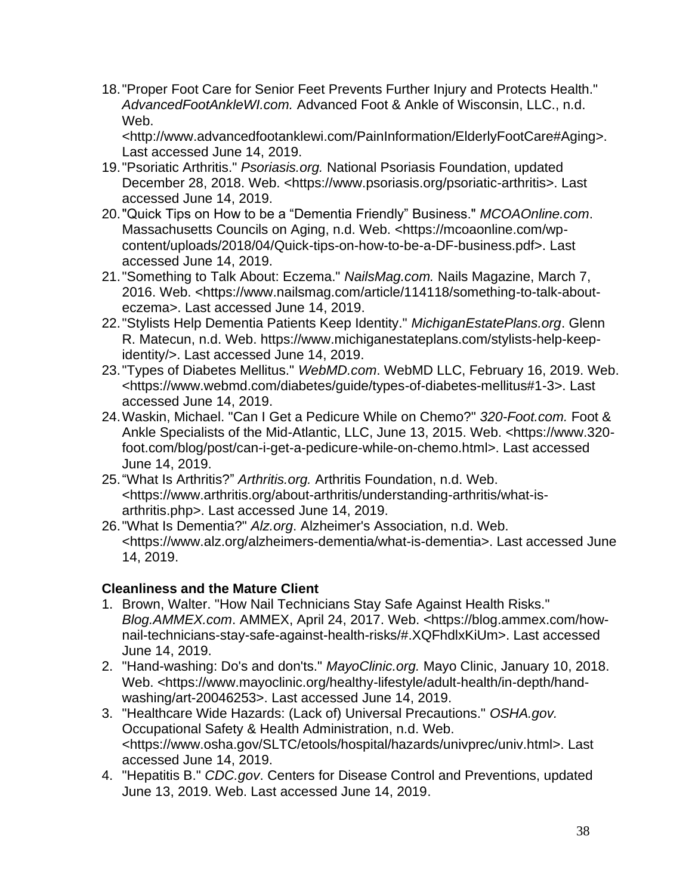18."Proper Foot Care for Senior Feet Prevents Further Injury and Protects Health." *AdvancedFootAnkleWI.com.* Advanced Foot & Ankle of Wisconsin, LLC., n.d. Web.

<http://www.advancedfootanklewi.com/PainInformation/ElderlyFootCare#Aging>. Last accessed June 14, 2019.

- 19."Psoriatic Arthritis." *Psoriasis.org.* National Psoriasis Foundation, updated December 28, 2018. Web. <https://www.psoriasis.org/psoriatic-arthritis>. Last accessed June 14, 2019.
- 20."Quick Tips on How to be a "Dementia Friendly" Business." *MCOAOnline.com*. Massachusetts Councils on Aging, n.d. Web. <https://mcoaonline.com/wpcontent/uploads/2018/04/Quick-tips-on-how-to-be-a-DF-business.pdf>. Last accessed June 14, 2019.
- 21."Something to Talk About: Eczema." *NailsMag.com.* Nails Magazine, March 7, 2016. Web. <https://www.nailsmag.com/article/114118/something-to-talk-abouteczema>. Last accessed June 14, 2019.
- 22."Stylists Help Dementia Patients Keep Identity." *MichiganEstatePlans.org*. Glenn R. Matecun, n.d. Web. https://www.michiganestateplans.com/stylists-help-keepidentity/>. Last accessed June 14, 2019.
- 23."Types of Diabetes Mellitus." *WebMD.com*. WebMD LLC, February 16, 2019. Web. <https://www.webmd.com/diabetes/guide/types-of-diabetes-mellitus#1-3>. Last accessed June 14, 2019.
- 24.Waskin, Michael. "Can I Get a Pedicure While on Chemo?" *320-Foot.com.* Foot & Ankle Specialists of the Mid-Atlantic, LLC, June 13, 2015. Web. <https://www.320 foot.com/blog/post/can-i-get-a-pedicure-while-on-chemo.html>. Last accessed June 14, 2019.
- 25."What Is Arthritis?" *Arthritis.org.* Arthritis Foundation, n.d. Web. <https://www.arthritis.org/about-arthritis/understanding-arthritis/what-isarthritis.php>. Last accessed June 14, 2019.
- 26."What Is Dementia?" *Alz.org*. Alzheimer's Association, n.d. Web. <https://www.alz.org/alzheimers-dementia/what-is-dementia>. Last accessed June 14, 2019.

# **Cleanliness and the Mature Client**

- 1. Brown, Walter. "How Nail Technicians Stay Safe Against Health Risks." *Blog.AMMEX.com*. AMMEX, April 24, 2017. Web. <https://blog.ammex.com/hownail-technicians-stay-safe-against-health-risks/#.XQFhdlxKiUm>. Last accessed June 14, 2019.
- 2. "Hand-washing: Do's and don'ts." *MayoClinic.org.* Mayo Clinic, January 10, 2018. Web. <https://www.mayoclinic.org/healthy-lifestyle/adult-health/in-depth/handwashing/art-20046253>. Last accessed June 14, 2019.
- 3. "Healthcare Wide Hazards: (Lack of) Universal Precautions." *OSHA.gov.* Occupational Safety & Health Administration, n.d. Web. <https://www.osha.gov/SLTC/etools/hospital/hazards/univprec/univ.html>. Last accessed June 14, 2019.
- 4. "Hepatitis B." *CDC.gov*. Centers for Disease Control and Preventions, updated June 13, 2019. Web. Last accessed June 14, 2019.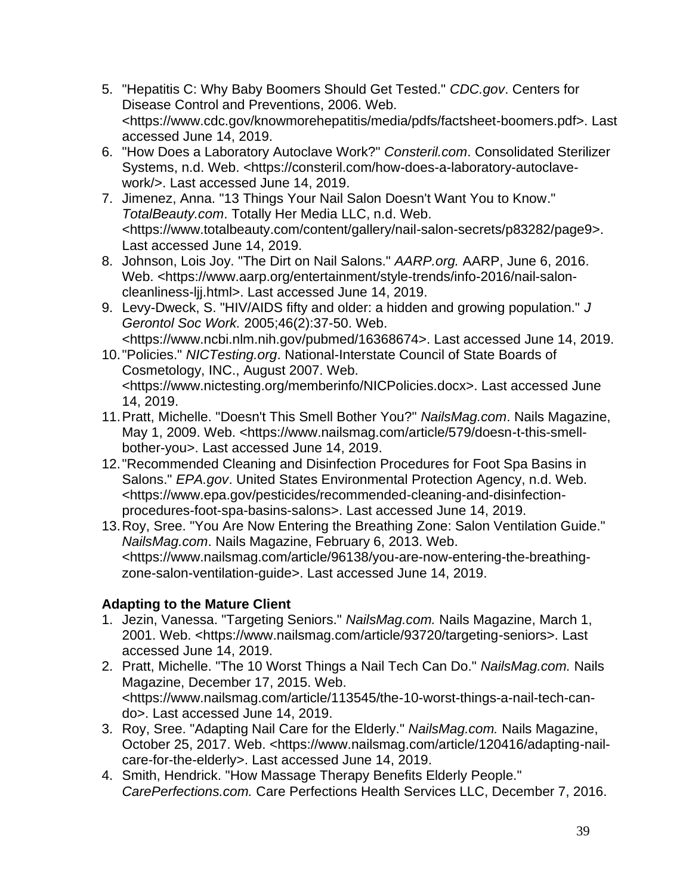- 5. "Hepatitis C: Why Baby Boomers Should Get Tested." *CDC.gov*. Centers for Disease Control and Preventions, 2006. Web. <https://www.cdc.gov/knowmorehepatitis/media/pdfs/factsheet-boomers.pdf>. Last accessed June 14, 2019.
- 6. "How Does a Laboratory Autoclave Work?" *Consteril.com*. Consolidated Sterilizer Systems, n.d. Web. <https://consteril.com/how-does-a-laboratory-autoclavework/>. Last accessed June 14, 2019.
- 7. Jimenez, Anna. "13 Things Your Nail Salon Doesn't Want You to Know." *TotalBeauty.com*. Totally Her Media LLC, n.d. Web. <https://www.totalbeauty.com/content/gallery/nail-salon-secrets/p83282/page9>. Last accessed June 14, 2019.
- 8. Johnson, Lois Joy. "The Dirt on Nail Salons." *AARP.org.* AARP, June 6, 2016. Web. <https://www.aarp.org/entertainment/style-trends/info-2016/nail-saloncleanliness-ljj.html>. Last accessed June 14, 2019.
- 9. Levy-Dweck, S. "HIV/AIDS fifty and older: a hidden and growing population." *J Gerontol Soc Work.* 2005;46(2):37-50. Web. <https://www.ncbi.nlm.nih.gov/pubmed/16368674>. Last accessed June 14, 2019.
- 10."Policies." *NICTesting.org*. National-Interstate Council of State Boards of Cosmetology, INC., August 2007. Web. <https://www.nictesting.org/memberinfo/NICPolicies.docx>. Last accessed June 14, 2019.
- 11.Pratt, Michelle. "Doesn't This Smell Bother You?" *NailsMag.com*. Nails Magazine, May 1, 2009. Web. <https://www.nailsmag.com/article/579/doesn-t-this-smellbother-you>. Last accessed June 14, 2019.
- 12."Recommended Cleaning and Disinfection Procedures for Foot Spa Basins in Salons." *EPA.gov*. United States Environmental Protection Agency, n.d. Web. <https://www.epa.gov/pesticides/recommended-cleaning-and-disinfectionprocedures-foot-spa-basins-salons>. Last accessed June 14, 2019.
- 13.Roy, Sree. "You Are Now Entering the Breathing Zone: Salon Ventilation Guide." *NailsMag.com*. Nails Magazine, February 6, 2013. Web. <https://www.nailsmag.com/article/96138/you-are-now-entering-the-breathingzone-salon-ventilation-guide>. Last accessed June 14, 2019.

# **Adapting to the Mature Client**

- 1. Jezin, Vanessa. "Targeting Seniors." *NailsMag.com.* Nails Magazine, March 1, 2001. Web. <https://www.nailsmag.com/article/93720/targeting-seniors>. Last accessed June 14, 2019.
- 2. Pratt, Michelle. "The 10 Worst Things a Nail Tech Can Do." *NailsMag.com.* Nails Magazine, December 17, 2015. Web. <https://www.nailsmag.com/article/113545/the-10-worst-things-a-nail-tech-cando>. Last accessed June 14, 2019.
- 3. Roy, Sree. "Adapting Nail Care for the Elderly." *NailsMag.com.* Nails Magazine, October 25, 2017. Web. <https://www.nailsmag.com/article/120416/adapting-nailcare-for-the-elderly>. Last accessed June 14, 2019.
- 4. Smith, Hendrick. "How Massage Therapy Benefits Elderly People." *CarePerfections.com.* Care Perfections Health Services LLC, December 7, 2016.